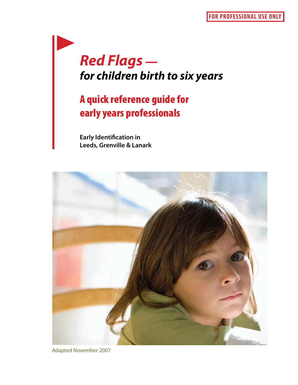# *Red Flags for children birth to six years*

# A quick reference guide for early years professionals

**Early Identification in Leeds, Grenville & Lanark** 



Adapted November 2007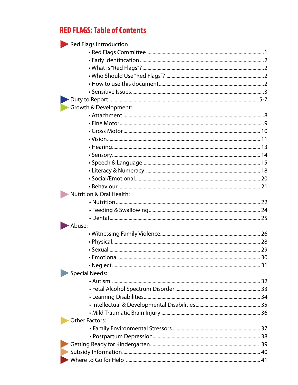# **RED FLAGS: Table of Contents**

| Red Flags Introduction              |  |
|-------------------------------------|--|
|                                     |  |
|                                     |  |
|                                     |  |
|                                     |  |
|                                     |  |
|                                     |  |
|                                     |  |
| Growth & Development:               |  |
|                                     |  |
|                                     |  |
|                                     |  |
|                                     |  |
|                                     |  |
|                                     |  |
|                                     |  |
|                                     |  |
|                                     |  |
|                                     |  |
| <b>Nutrition &amp; Oral Health:</b> |  |
|                                     |  |
|                                     |  |
|                                     |  |
| Abuse:                              |  |
|                                     |  |
|                                     |  |
|                                     |  |
|                                     |  |
|                                     |  |
| <b>Special Needs:</b>               |  |
|                                     |  |
|                                     |  |
|                                     |  |
|                                     |  |
|                                     |  |
| <b>Other Factors:</b>               |  |
|                                     |  |
|                                     |  |
|                                     |  |
|                                     |  |
|                                     |  |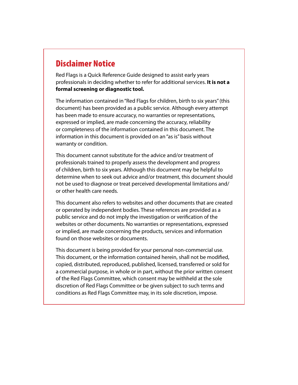# Disclaimer Notice

Red Flags is a Quick Reference Guide designed to assist early years professionals in deciding whether to refer for additional services. **It is not a formal screening or diagnostic tool.**

The information contained in "Red Flags for children, birth to six years" (this document) has been provided as a public service. Although every attempt has been made to ensure accuracy, no warranties or representations, expressed or implied, are made concerning the accuracy, reliability or completeness of the information contained in this document. The information in this document is provided on an "as is" basis without warranty or condition.

This document cannot substitute for the advice and/or treatment of professionals trained to properly assess the development and progress of children, birth to six years. Although this document may be helpful to determine when to seek out advice and/or treatment, this document should not be used to diagnose or treat perceived developmental limitations and/ or other health care needs.

This document also refers to websites and other documents that are created or operated by independent bodies. These references are provided as a public service and do not imply the investigation or verification of the websites or other documents. No warranties or representations, expressed or implied, are made concerning the products, services and information found on those websites or documents.

This document is being provided for your personal non-commercial use. This document, or the information contained herein, shall not be modified, copied, distributed, reproduced, published, licensed, transferred or sold for a commercial purpose, in whole or in part, without the prior written consent of the Red Flags Committee, which consent may be withheld at the sole discretion of Red Flags Committee or be given subject to such terms and conditions as Red Flags Committee may, in its sole discretion, impose.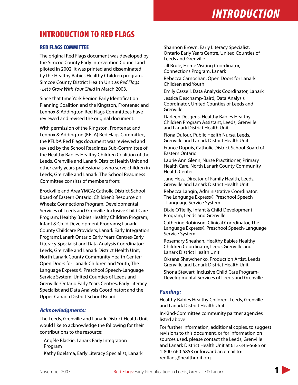# INTRODUCTION TO RED FLAGS

### RED FLAGS COMMITTEE

The original Red Flags document was developed by the Simcoe County Early Intervention Council and piloted in 2002. It was printed and disseminated by the Healthy Babies Healthy Children program, Simcoe County District Health Unit as *Red Flags - Let's Grow With Your Child* in March 2003.

Since that time York Region Early Identification Planning Coalition and the Kingston, Frontenac and Lennox & Addington Red Flags Committees have reviewed and revised the original document.

With permission of the Kingston, Frontenac and Lennox & Addington (KFLA) Red Flags Committee, the KFL&A Red Flags document was reviewed and revised by the School Readiness Sub-Committee of the Healthy Babies Healthy Children Coalition of the Leeds, Grenville and Lanark District Health Unit and other early years professionals who serve children in Leeds, Grenville and Lanark. The School Readiness Committee consists of members from:

Brockville and Area YMCA; Catholic District School Board of Eastern Ontario; Children's Resource on Wheels; Connections Program; Developmental Services of Leeds and Grenville-Inclusive Child Care Program; Healthy Babies Healthy Children Program; Infant & Child Development Programs; Lanark County Childcare Providers; Lanark Early Integration Program; Lanark Ontario Early Years Centres-Early Literacy Specialist and Data Analysis Coordinator; Leeds, Grenville and Lanark District Health Unit; North Lanark County Community Health Center; Open Doors for Lanark Children and Youth; The Language Express © Preschool Speech-Language Service System; United Counties of Leeds and Grenville-Ontario Early Years Centres, Early Literacy Specialist and Data Analysis Coordinator; and the Upper Canada District School Board.

#### *Acknowledgments:*

The Leeds, Grenville and Lanark District Health Unit would like to acknowledge the following for their contributions to the resource:

Angèle Blaskie, Lanark Early Integration Program

Kathy Boelsma, Early Literacy Specialist, Lanark

Shannon Brown, Early Literacy Specialist, Ontario Early Years Centre, United Counties of Leeds and Grenville

Jill Brulé, Home Visiting Coordinator, Connections Program, Lanark

Rebecca Carnochan, Open Doors for Lanark Children and Youth

Emily Cassell, Data Analysis Coordinator, Lanark

Jessica Deschamp-Baird, Data Analysis Coordinator, United Counties of Leeds and Grenville

Darleen Desgens, Healthy Babies Healthy Children Program Assistant, Leeds, Grenville and Lanark District Health Unit

Fiona Dufour, Public Health Nurse, Leeds, Grenville and Lanark District Health Unit

France Dupuis, Catholic District School Board of Eastern Ontario

Laurie Ann Glenn, Nurse Practitioner, Primary Health Care, North Lanark County Community Health Center

Jane Hess, Director of Family Health, Leeds, Grenville and Lanark District Health Unit

Rebecca Langin, Administrative Coordinator, The Language Express© Preschool Speech - Language Service System

Dixie O'Reilly, Infant & Child Development Program, Leeds and Grenville

Catherine Robinson, Clinical Coordinator, The Language Express© Preschool Speech-Language Service System

Rosemary Sheahan, Healthy Babies Healthy Children Coordinator, Leeds Grenville and Lanark District Health Unit

Oksana Shewchenko, Production Artist, Leeds Grenville and Lanark District Health Unit

Shona Stewart, Inclusive Child Care Program-Developmental Services of Leeds and Grenville

### *Funding:*

Healthy Babies Healthy Children, Leeds, Grenville and Lanark District Health Unit

In-Kind-Committee community partner agencies listed above

For further information, additional copies, to suggest revisions to this document, or for information on sources used, please contact the Leeds, Grenville and Lanark District Health Unit at 613-345-5685 or 1-800-660-5853 or forward an email to: redflags@healthunit.org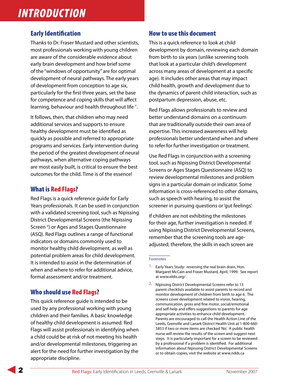## Early Identification

Thanks to Dr. Fraser Mustard and other scientists, most professionals working with young children are aware of the considerable evidence about early brain development and how brief some of the "windows of opportunity" are for optimal development of neural pathways. The early years of development from conception to age six, particularly for the first three years, set the base for competence and coping skills that will affect learning, behaviour and health throughout life **<sup>1</sup>** .

It follows, then, that children who may need additional services and supports to ensure healthy development must be identified as quickly as possible and referred to appropriate programs and services. Early intervention during the period of the greatest development of neural pathways, when alternative coping pathways are most easily built, is critical to ensure the best outcomes for the child. Time is of the essence!

## What is Red Flags?

Red Flags is a quick reference guide for Early Years professionals. It can be used in conjunction with a validated screening tool, such as Nipissing District Developmental Screens (the Nipissing Screen **<sup>2</sup>** ) or Ages and Stages Questionnaire (ASQ). Red Flags outlines a range of functional indicators or domains commonly used to monitor healthy child development, as well as potential problem areas for child development. It is intended to assist in the determination of when and where to refer for additional advice, formal assessment and/or treatment.

## Who should use Red Flags?

This quick reference guide is intended to be used by any professional working with young children and their families. A basic knowledge of healthy child development is assumed. Red Flags will assist professionals in identifying when a child could be at risk of not meeting his health and/or developmental milestones, triggering an alert for the need for further investigation by the appropriate discipline.

### How to use this document

This is a quick reference to look at child development by domain, reviewing each domain from birth to six years (unlike screening tools that look at a particular child's development across many areas of development at a specific age). It includes other areas that may impact child health, growth and development due to the dynamics of parent-child interaction, such as postpartum depression, abuse, etc.

Red Flags allows professionals to review and better understand domains on a continuum that are traditionally outside their own area of expertise. This increased awareness will help professionals better understand when and where to refer for further investigation or treatment.

Use Red Flags in conjunction with a screening tool, such as Nipissing District Developmental Screens or Ages Stages Questionnaire (ASQ) to review developmental milestones and problem signs in a particular domain or indicator. Some information is cross-referenced to other domains, such as speech with hearing, to assist the screener in pursuing questions or 'gut feelings'.

If children are not exhibiting the milestones for their age, further investigation is needed. If using Nipissing District Developmental Screens, remember that the screening tools are ageadjusted; therefore, the skills in each screen are

#### Footnotes

2. Nipissing District Developmental Screens refer to 13 parent checklists available to assist parents to record and monitor development of children from birth to age 6. The screens cover development related to vision, hearing, communication, gross and fine motor, social/emotional and self-help and offers suggestions to parents for age appropriate activities to enhance child development. Parents are encouraged to call the Health Action Line of the Leeds, Grenville and Lanark District Health Unit at 1-800-660- 5853 if two or more items are checked 'No'. A public health nurse will review the results of the screen and suggest next steps. It is particularly important for a screen to be reviewed by a professional if a problem is identified. For additional information about Nipissing District Developmental Screens or to obtain copies, visit the website at www.ndds.ca

Early Years Study: reversing the real brain drain, Hon. Margaret McCain and Fraser Mustard, April, 1999. See report at www.eldis.org/ .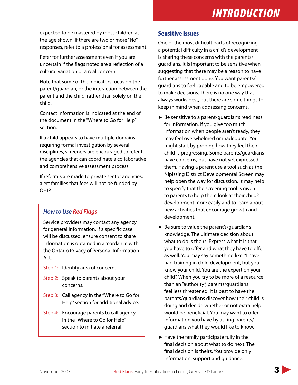expected to be mastered by most children at the age shown. If there are two or more "No" responses, refer to a professional for assessment.

Refer for further assessment even if you are uncertain if the flags noted are a reflection of a cultural variation or a real concern.

Note that some of the indicators focus on the parent/guardian, or the interaction between the parent and the child, rather than solely on the child.

Contact information is indicated at the end of the document in the "Where to Go for Help" section.

If a child appears to have multiple domains requiring formal investigation by several disciplines, screeners are encouraged to refer to the agencies that can coordinate a collaborative and comprehensive assessment process.

If referrals are made to private sector agencies, alert families that fees will not be funded by OHIP.

## *How to Use Red Flags*

Service providers may contact any agency for general information. If a specific case will be discussed, ensure consent to share information is obtained in accordance with the Ontario Privacy of Personal Information Act.

- Step 1: Identify area of concern.
- Step 2: Speak to parents about your concerns.
- Step 3: Call agency in the "Where to Go for Help" section for additional advice.
- Step 4: Encourage parents to call agency in the "Where to Go for Help" section to initiate a referral.

### Sensitive Issues

One of the most difficult parts of recognizing a potential difficulty in a child's development is sharing these concerns with the parents/ guardians. It is important to be sensitive when suggesting that there may be a reason to have further assessment done. You want parents/ guardians to feel capable and to be empowered to make decisions. There is no one way that always works best, but there are some things to keep in mind when addressing concerns.

- ► Be sensitive to a parent/guardian's readiness for information. If you give too much information when people aren't ready, they may feel overwhelmed or inadequate. You might start by probing how they feel their child is progressing. Some parents/guardians have concerns, but have not yet expressed them. Having a parent use a tool such as the Nipissing District Developmental Screen may help open the way for discussion. It may help to specify that the screening tool is given to parents to help them look at their child's development more easily and to learn about new activities that encourage growth and development.
- ► Be sure to value the parent's/guardian's knowledge. The ultimate decision about what to do is theirs. Express what it is that you have to offer and what they have to offer as well. You may say something like: "I have had training in child development, but you know your child. You are the expert on your child". When you try to be more of a resource than an "authority", parents/guardians feel less threatened. It is best to have the parents/guardians discover how their child is doing and decide whether or not extra help would be beneficial. You may want to offer information you have by asking parents/ guardians what they would like to know.
- ► Have the family participate fully in the final decision about what to do next. The final decision is theirs. You provide only information, support and guidance.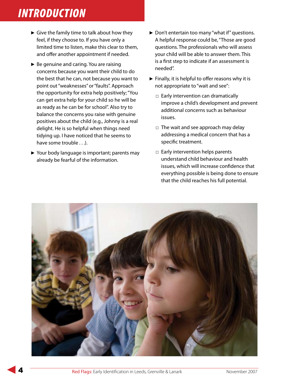- ► Give the family time to talk about how they feel, if they choose to. If you have only a limited time to listen, make this clear to them, and offer another appointment if needed.
- ► Be genuine and caring. You are raising concerns because you want their child to do the best that he can, not because you want to point out "weaknesses" or "faults". Approach the opportunity for extra help positively; "You can get extra help for your child so he will be as ready as he can be for school". Also try to balance the concerns you raise with genuine positives about the child (e.g., Johnny is a real delight. He is so helpful when things need tidying up. I have noticed that he seems to have some trouble . . .).
- ► Your body language is important; parents may already be fearful of the information.
- ▶ Don't entertain too many "what if" questions. A helpful response could be, "Those are good questions. The professionals who will assess your child will be able to answer them. This is a first step to indicate if an assessment is needed".
- ► Finally, it is helpful to offer reasons why it is not appropriate to "wait and see":
	- □ Early intervention can dramatically improve a child's development and prevent additional concerns such as behaviour issues.
	- □ The wait and see approach may delay addressing a medical concern that has a specific treatment.
	- □ Early intervention helps parents understand child behaviour and health issues, which will increase confidence that everything possible is being done to ensure that the child reaches his full potential.

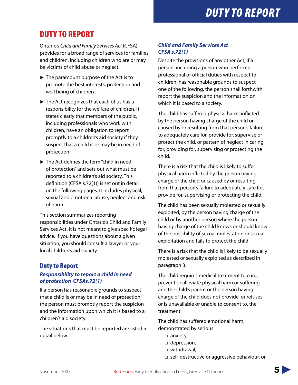# **DUTY TO REPORT**

# DUTY TO REPORT

Ontario's *Child and Family Services Act* (CFSA) provides for a broad range of services for families and children, including children who are or may be victims of child abuse or neglect.

- ► The paramount purpose of the Act is to promote the best interests, protection and well being of children.
- ► The Act recognizes that each of us has a responsibility for the welfare of children. It states clearly that members of the public, including professionals who work with children, have an obligation to report promptly to a children's aid society if they suspect that a child is or may be in need of protection.
- ► The Act defines the term "child in need of protection" and sets out what must be reported to a children's aid society. This definition (CFSA s.72(1)) is set out in detail on the following pages. It includes physical, sexual and emotional abuse, neglect and risk of harm.

This section summarizes reporting responsibilities under Ontario's Child and Family Services Act. It is not meant to give specific legal advice. If you have questions about a given situation, you should consult a lawyer or your local children's aid society.

## Duty to Report

### *Responsibility to report a child in need of protection CFSAs.72(1)*

If a person has reasonable grounds to suspect that a child is or may be in need of protection, the person must promptly report the suspicion and the information upon which it is based to a children's aid society.

The situations that must be reported are listed in detail below.

### *Child and Family Services Act CFSA s.72(1)*

Despite the provisions of any other Act, if a person, including a person who performs professional or official duties with respect to children, has reasonable grounds to suspect one of the following, the person shall forthwith report the suspicion and the information on which it is based to a society.

The child has suffered physical harm, inflicted by the person having charge of the child or caused by or resulting from that person's failure to adequately care for, provide for, supervise or protect the child, or pattern of neglect in caring for, providing for, supervising or protecting the child.

There is a risk that the child is likely to suffer physical harm inflicted by the person having charge of the child or caused by or resulting from that person's failure to adequately care for, provide for, supervising or protecting the child.

The child has been sexually molested or sexually exploited, by the person having charge of the child or by another person where the person having charge of the child knows or should know of the possibility of sexual molestation or sexual exploitation and fails to protect the child.

There is a risk that the child is likely to be sexually molested or sexually exploited as described in paragraph 3.

The child requires medical treatment to cure, prevent or alleviate physical harm or suffering and the child's parent or the person having charge of the child does not provide, or refuses or is unavailable or unable to consent to, the treatment.

The child has suffered emotional harm, demonstrated by serious

- □ anxiety,
- □ depression,
- □ withdrawal,
- □ self-destructive or aggressive behaviour, or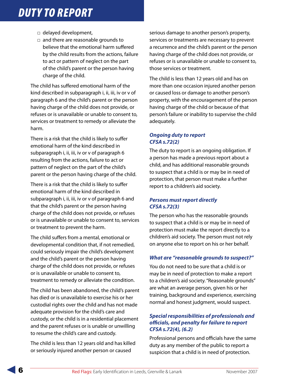# **DUTY TO REPORT**

- □ delayed development,
- □ and there are reasonable grounds to believe that the emotional harm suffered by the child results from the actions, failure to act or pattern of neglect on the part of the child's parent or the person having charge of the child.

The child has suffered emotional harm of the kind described in subparagraph i, ii, iii, iv or v of paragraph 6 and the child's parent or the person having charge of the child does not provide, or refuses or is unavailable or unable to consent to, services or treatment to remedy or alleviate the harm.

There is a risk that the child is likely to suffer emotional harm of the kind described in subparagraph i, ii, iii, iv or v of paragraph 6 resulting from the actions, failure to act or pattern of neglect on the part of the child's parent or the person having charge of the child.

There is a risk that the child is likely to suffer emotional harm of the kind described in subparagraph i, ii, iii, iv or v of paragraph 6 and that the child's parent or the person having charge of the child does not provide, or refuses or is unavailable or unable to consent to, services or treatment to prevent the harm.

The child suffers from a mental, emotional or developmental condition that, if not remedied, could seriously impair the child's development and the child's parent or the person having charge of the child does not provide, or refuses or is unavailable or unable to consent to, treatment to remedy or alleviate the condition.

The child has been abandoned, the child's parent has died or is unavailable to exercise his or her custodial rights over the child and has not made adequate provision for the child's care and custody, or the child is in a residential placement and the parent refuses or is unable or unwilling to resume the child's care and custody.

The child is less than 12 years old and has killed or seriously injured another person or caused

serious damage to another person's property, services or treatments are necessary to prevent a recurrence and the child's parent or the person having charge of the child does not provide, or refuses or is unavailable or unable to consent to, those services or treatment.

The child is less than 12 years old and has on more than one occasion injured another person or caused loss or damage to another person's property, with the encouragement of the person having charge of the child or because of that person's failure or inability to supervise the child adequately.

### *Ongoing duty to report CFSA s.72(2)*

The duty to report is an ongoing obligation. If a person has made a previous report about a child, and has additional reasonable grounds to suspect that a child is or may be in need of protection, that person must make a further report to a children's aid society.

### *Persons must report directly CFSA s.72(3)*

The person who has the reasonable grounds to suspect that a child is or may be in need of protection must make the report directly to a children's aid society. The person must not rely on anyone else to report on his or her behalf.

### *What are "reasonable grounds to suspect?"*

You do not need to be sure that a child is or may be in need of protection to make a report to a children's aid society. "Reasonable grounds" are what an average person, given his or her training, background and experience, exercising normal and honest judgment, would suspect.

### *Special responsibilities of professionals and officials, and penalty for failure to report CFSA s.72(4), (6.2)*

Professional persons and officials have the same duty as any member of the public to report a suspicion that a child is in need of protection.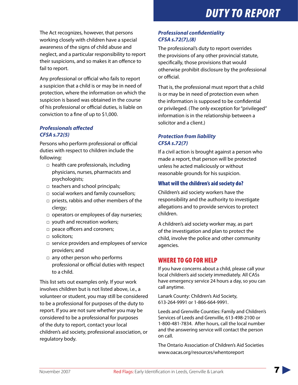The Act recognizes, however, that persons working closely with children have a special awareness of the signs of child abuse and neglect, and a particular responsibility to report their suspicions, and so makes it an offence to fail to report.

Any professional or official who fails to report a suspicion that a child is or may be in need of protection, where the information on which the suspicion is based was obtained in the course of his professional or official duties, is liable on conviction to a fine of up to \$1,000.

### *Professionals affected CFSA s.72(5)*

Persons who perform professional or official duties with respect to children include the following:

- □ health care professionals, including physicians, nurses, pharmacists and psychologists;
- □ teachers and school principals;
- □ social workers and family counsellors;
- □ priests, rabbis and other members of the clergy;
- □ operators or employees of day nurseries;
- □ youth and recreation workers;
- □ peace officers and coroners;
- □ solicitors;
- □ service providers and employees of service providers; and
- □ any other person who performs professional or official duties with respect to a child.

This list sets out examples only. If your work involves children but is not listed above, i.e., a volunteer or student, you may still be considered to be a professional for purposes of the duty to report. If you are not sure whether you may be considered to be a professional for purposes of the duty to report, contact your local children's aid society, professional association, or regulatory body.

## *Professional confidentiality CFSA s.72(7),(8)*

The professional's duty to report overrides the provisions of any other provincial statute, specifically, those provisions that would otherwise prohibit disclosure by the professional or official.

That is, the professional must report that a child is or may be in need of protection even when the information is supposed to be confidential or privileged. (The only exception for "privileged" information is in the relationship between a solicitor and a client.)

### *Protection from liability CFSA s.72(7)*

If a civil action is brought against a person who made a report, that person will be protected unless he acted maliciously or without reasonable grounds for his suspicion.

### What will the children's aid society do?

Children's aid society workers have the responsibility and the authority to investigate allegations and to provide services to protect children.

A children's aid society worker may, as part of the investigation and plan to protect the child, involve the police and other community agencies.

## WHERE TO GO FOR HELP

If you have concerns about a child, please call your local children's aid society immediately. All CASs have emergency service 24 hours a day, so you can call anytime.

Lanark County: Children's Aid Society, 613-264-9991 or 1-866-664-9991.

Leeds and Grenville Counties: Family and Children's Services of Leeds and Grenville, 613-498-2100 or 1-800-481-7834. After hours, call the local number and the answering service will contact the person on call.

The Ontario Association of Children's Aid Societies www.oacas.org/resources/whentoreport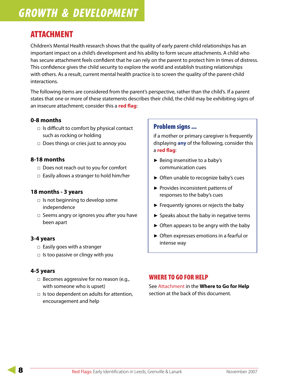# ATTACHMENT

Children's Mental Health research shows that the quality of early parent-child relationships has an important impact on a child's development and his ability to form secure attachments. A child who has secure attachment feels confident that he can rely on the parent to protect him in times of distress. This confidence gives the child security to explore the world and establish trusting relationships with others. As a result, current mental health practice is to screen the quality of the parent-child interactions.

The following items are considered from the parent's perspective, rather than the child's. If a parent states that one or more of these statements describes their child, the child may be exhibiting signs of an insecure attachment; consider this a **red flag**:

### **0-8 months**

- □ Is difficult to comfort by physical contact such as rocking or holding
- □ Does things or cries just to annoy you

### **8-18 months**

- □ Does not reach out to you for comfort
- $\Box$  Easily allows a stranger to hold him/her

### **18 months - 3 years**

- $\Box$  Is not beginning to develop some independence
- □ Seems angry or ignores you after you have been apart

### **3-4 years**

- $\Box$  Easily goes with a stranger
- □ Is too passive or clingy with you

### **4-5 years**

- □ Becomes aggressive for no reason (e.g., with someone who is upset)
- $\Box$  Is too dependent on adults for attention, encouragement and help

### Problem signs ...

if a mother or primary caregiver is frequently displaying **any** of the following, consider this a **red flag**:

- ► Being insensitive to a baby's communication cues
- ► Often unable to recognize baby's cues
- ▶ Provides inconsistent patterns of responses to the baby's cues
- ► Frequently ignores or rejects the baby
- ► Speaks about the baby in negative terms
- ► Often appears to be angry with the baby
- ► Often expresses emotions in a fearful or intense way

### WHERE TO GO FOR HELP

See Attachment in the **Where to Go for Help** section at the back of this document.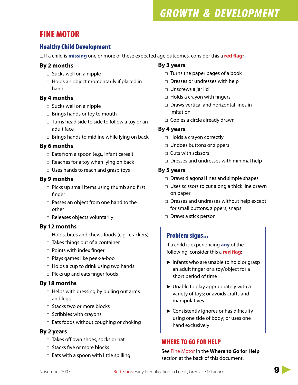# FINE MOTOR

## Healthy Child Development

... If a child is **missing** one or more of these expected age outcomes, consider this a **red flag:**

### **By 2 months**

- □ Sucks well on a nipple
- □ Holds an object momentarily if placed in hand

### **By 4 months**

- □ Sucks well on a nipple
- □ Brings hands or toy to mouth
- $\Box$  Turns head side to side to follow a toy or an adult face
- □ Brings hands to midline while lying on back

### **By 6 months**

- □ Eats from a spoon (e.g., infant cereal)
- □ Reaches for a toy when lying on back
- □ Uses hands to reach and grasp toys

### **By 9 months**

- □ Picks up small items using thumb and first finger
- □ Passes an object from one hand to the other
- □ Releases objects voluntarily

### **By 12 months**

- □ Holds, bites and chews foods (e.g., crackers)
- $\Box$  Takes things out of a container
- □ Points with index finger
- □ Plays games like peek-a-boo
- $\Box$  Holds a cup to drink using two hands
- □ Picks up and eats finger foods

### **By 18 months**

- □ Helps with dressing by pulling out arms and legs
- □ Stacks two or more blocks
- □ Scribbles with crayons
- □ Eats foods without coughing or choking

### **By 2 years**

- $\Box$  Takes off own shoes, socks or hat
- □ Stacks five or more blocks
- □ Eats with a spoon with little spilling

### **By 3 years**

- □ Turns the paper pages of a book
- □ Dresses or undresses with help
- □ Unscrews a jar lid
- □ Holds a crayon with fingers
- □ Draws vertical and horizontal lines in imitation
- □ Copies a circle already drawn

### **By 4 years**

- □ Holds a crayon correctly
- □ Undoes buttons or zippers
- □ Cuts with scissors
- □ Dresses and undresses with minimal help

### **By 5 years**

- □ Draws diagonal lines and simple shapes
- □ Uses scissors to cut along a thick line drawn on paper
- □ Dresses and undresses without help except for small buttons, zippers, snaps
- □ Draws a stick person

## Problem signs...

if a child is experiencing **any** of the following, consider this a **red flag**:

- ► Infants who are unable to hold or grasp an adult finger or a toy/object for a short period of time
- ► Unable to play appropriately with a variety of toys; or avoids crafts and manipulatives
- ► Consistently ignores or has difficulty using one side of body; or uses one hand exclusively

## WHERE TO GO FOR HELP

See Fine Motor in the **Where to Go for Help** section at the back of this document.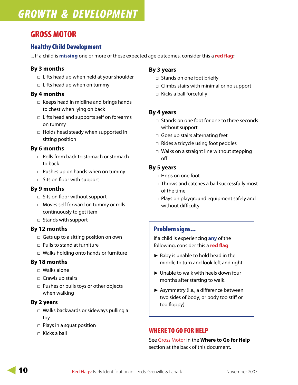# GROSS MOTOR

## Healthy Child Development

... If a child is **missing** one or more of these expected age outcomes, consider this a **red flag:**

### **By 3 months**

- □ Lifts head up when held at your shoulder
- $\Box$  Lifts head up when on tummy

### **By 4 months**

- □ Keeps head in midline and brings hands to chest when lying on back
- □ Lifts head and supports self on forearms on tummy
- □ Holds head steady when supported in sitting position

### **By 6 months**

- □ Rolls from back to stomach or stomach to back
- □ Pushes up on hands when on tummy
- $\Box$  Sits on floor with support

### **By 9 months**

- □ Sits on floor without support
- □ Moves self forward on tummy or rolls continuously to get item
- □ Stands with support

### **By 12 months**

- □ Gets up to a sitting position on own
- □ Pulls to stand at furniture
- □ Walks holding onto hands or furniture

### **By 18 months**

- □ Walks alone
- □ Crawls up stairs
- □ Pushes or pulls toys or other objects when walking

### **By 2 years**

- □ Walks backwards or sideways pulling a toy
- □ Plays in a squat position
- □ Kicks a ball

### **By 3 years**

- □ Stands on one foot briefly
- □ Climbs stairs with minimal or no support
- □ Kicks a ball forcefully

### **By 4 years**

- □ Stands on one foot for one to three seconds without support
- □ Goes up stairs alternating feet
- □ Rides a tricycle using foot peddles
- □ Walks on a straight line without stepping off

### **By 5 years**

- □ Hops on one foot
- □ Throws and catches a ball successfully most of the time
- □ Plays on playground equipment safely and without difficulty

### Problem signs...

if a child is experiencing **any** of the following, consider this a **red flag**:

- ► Baby is unable to hold head in the middle to turn and look left and right.
- ► Unable to walk with heels down four months after starting to walk.
- ► Asymmetry (i.e., a difference between two sides of body; or body too stiff or too floppy).

## WHERE TO GO FOR HELP

See Gross Motor in the **Where to Go for Help** section at the back of this document.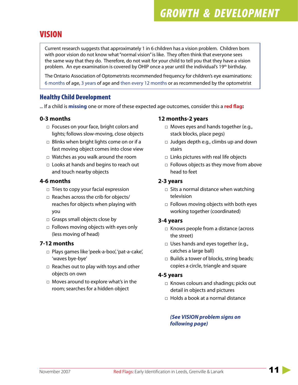# VISION

Current research suggests that approximately 1 in 6 children has a vision problem. Children born with poor vision do not know what "normal vision" is like. They often think that everyone sees the same way that they do. Therefore, do not wait for your child to tell you that they have a vision problem. An eye examination is covered by OHIP once a year until the individual's 19<sup>th</sup> birthday.

The Ontario Association of Optometrists recommended frequency for children's eye examinations: 6 months of age, 3 years of age and then every 12 months or as recommended by the optometrist

## Healthy Child Development

... If a child is **missing** one or more of these expected age outcomes, consider this a **red flag:**

### **0-3 months**

- □ Focuses on your face, bright colors and lights; follows slow-moving, close objects
- □ Blinks when bright lights come on or if a fast moving object comes into close view
- □ Watches as you walk around the room
- □ Looks at hands and begins to reach out and touch nearby objects

### **4-6 months**

- □ Tries to copy your facial expression
- □ Reaches across the crib for objects/ reaches for objects when playing with you
- □ Grasps small objects close by
- □ Follows moving objects with eyes only (less moving of head)

### **7-12 months**

- □ Plays games like 'peek-a-boo', 'pat-a-cake', 'waves bye-bye'
- □ Reaches out to play with toys and other objects on own
- □ Moves around to explore what's in the room; searches for a hidden object

### **12 months-2 years**

- □ Moves eyes and hands together (e.g., stack blocks, place pegs)
- □ Judges depth e.g., climbs up and down stairs
- □ Links pictures with real life objects
- □ Follows objects as they move from above head to feet

### **2-3 years**

- □ Sits a normal distance when watching television
- □ Follows moving objects with both eyes working together (coordinated)

### **3-4 years**

- □ Knows people from a distance (across the street)
- □ Uses hands and eyes together (e.g., catches a large ball)
- □ Builds a tower of blocks, string beads; copies a circle, triangle and square

### **4-5 years**

- □ Knows colours and shadings; picks out detail in objects and pictures
- □ Holds a book at a normal distance

### *(See VISION problem signs on following page)*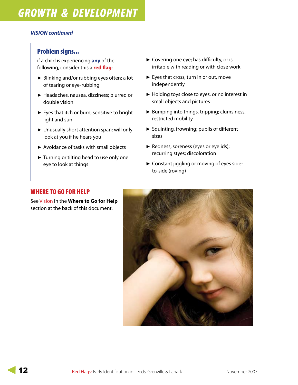### *VISION continued*

### Problem signs...

if a child is experiencing **any** of the following, consider this a **red flag**:

- ► Blinking and/or rubbing eyes often; a lot of tearing or eye-rubbing
- ► Headaches, nausea, dizziness; blurred or double vision
- ► Eyes that itch or burn; sensitive to bright light and sun
- ► Unusually short attention span; will only look at you if he hears you
- ► Avoidance of tasks with small objects
- ► Turning or tilting head to use only one eye to look at things
- ► Covering one eye; has difficulty, or is irritable with reading or with close work
- ► Eyes that cross, turn in or out, move independently
- ▶ Holding toys close to eyes, or no interest in small objects and pictures
- ▶ Bumping into things, tripping; clumsiness, restricted mobility
- ▶ Squinting, frowning; pupils of different sizes
- ▶ Redness, soreness (eyes or eyelids); recurring styes; discoloration
- ► Constant jiggling or moving of eyes sideto-side (roving)

### WHERE TO GO FOR HELP

See Vision in the **Where to Go for Help** section at the back of this document.

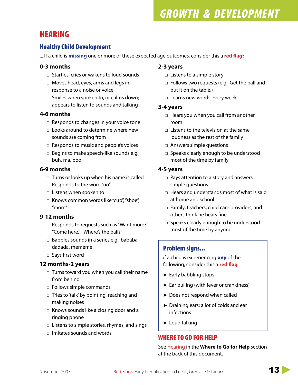# HEARING

## Healthy Child Development

... If a child is **missing** one or more of these expected age outcomes, consider this a **red flag:**

### **0-3 months**

- □ Startles, cries or wakens to loud sounds
- □ Moves head, eyes, arms and legs in response to a noise or voice
- □ Smiles when spoken to, or calms down; appears to listen to sounds and talking

### **4-6 months**

- □ Responds to changes in your voice tone
- □ Looks around to determine where new sounds are coming from
- □ Responds to music and people's voices
- □ Begins to make speech-like sounds e.g., buh, ma, boo

### **6-9 months**

- □ Turns or looks up when his name is called Responds to the word "no"
- $\Box$  Listens when spoken to
- □ Knows common words like "cup", "shoe", "mom"

### **9-12 months**

- □ Responds to requests such as "Want more?" "Come here."" Where's the ball?"
- □ Babbles sounds in a series e.g., bababa, dadada, mememe
- □ Says first word

### **12 months-2 years**

- □ Turns toward you when you call their name from behind
- □ Follows simple commands
- □ Tries to 'talk' by pointing, reaching and making noises
- □ Knows sounds like a closing door and a ringing phone
- □ Listens to simple stories, rhymes, and sings
- □ Imitates sounds and words

### **2-3 years**

- □ Listens to a simple story
- □ Follows two requests (e.g., Get the ball and put it on the table.)
- □ Learns new words every week

### **3-4 years**

- □ Hears you when you call from another room
- □ Listens to the television at the same loudness as the rest of the family
- □ Answers simple questions
- □ Speaks clearly enough to be understood most of the time by family

### **4-5 years**

- □ Pays attention to a story and answers simple questions
- □ Hears and understands most of what is said at home and school
- □ Family, teachers, child care providers, and others think he hears fine
- □ Speaks clearly enough to be understood most of the time by anyone

## Problem signs...

if a child is experiencing **any** of the following, consider this a **red flag**:

- ► Early babbling stops
- ► Ear pulling (with fever or crankiness)
- ► Does not respond when called
- ► Draining ears; a lot of colds and ear infections
- ► Loud talking

## WHERE TO GO FOR HELP

See Hearing in the **Where to Go for Help** section at the back of this document.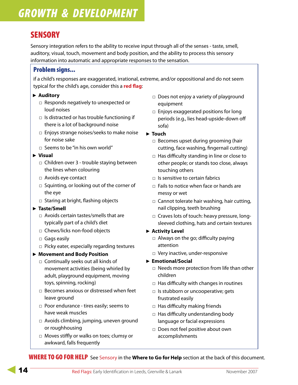# **SENSORY**

Sensory integration refers to the ability to receive input through all of the senses - taste, smell, auditory, visual, touch, movement and body position, and the ability to process this sensory information into automatic and appropriate responses to the sensation.

## Problem signs...

if a child's responses are exaggerated, irrational, extreme, and/or oppositional and do not seem typical for the child's age, consider this a **red flag**:

### **Auditory** ►

- □ Responds negatively to unexpected or loud noises
- □ Is distracted or has trouble functioning if there is a lot of background noise
- □ Enjoys strange noises/seeks to make noise for noise sake
- $\Box$  Seems to be "in his own world"

#### **Visual** ►

- □ Children over 3 trouble staying between the lines when colouring
- □ Avoids eye contact
- □ Squinting, or looking out of the corner of the eye
- □ Staring at bright, flashing objects

#### **Taste/Smell** ►

- □ Avoids certain tastes/smells that are typically part of a child's diet
- □ Chews/licks non-food objects
- □ Gags easily
- □ Picky eater, especially regarding textures

### **Movement and Body Position** ►

- □ Continually seeks out all kinds of movement activities (being whirled by adult, playground equipment, moving toys, spinning, rocking)
- □ Becomes anxious or distressed when feet leave ground
- □ Poor endurance tires easily; seems to have weak muscles
- □ Avoids climbing, jumping, uneven ground or roughhousing
- □ Moves stiffly or walks on toes; clumsy or awkward, falls frequently
- □ Does not enjoy a variety of playground equipment
- □ Enjoys exaggerated positions for long periods (e.g., lies head-upside-down off sofa)
- **Touch** ►
	- □ Becomes upset during grooming (hair cutting, face washing, fingernail cutting)
	- □ Has difficulty standing in line or close to other people; or stands too close, always touching others
	- □ Is sensitive to certain fabrics
	- $\Box$  Fails to notice when face or hands are messy or wet
	- □ Cannot tolerate hair washing, hair cutting, nail clipping, teeth brushing
	- □ Craves lots of touch: heavy pressure, longsleeved clothing, hats and certain textures
- **Activity Level**  ►
	- □ Always on the go; difficulty paying attention
	- □ Very inactive, under-responsive
- **Emotional/Social** ►
	- □ Needs more protection from life than other children
	- □ Has difficulty with changes in routines
	- □ Is stubborn or uncooperative; gets frustrated easily
	- □ Has difficulty making friends
	- □ Has difficulty understanding body language or facial expressions
	- □ Does not feel positive about own accomplishments

WHERE TO GO FOR HELP See Sensory in the **Where to Go for Help** section at the back of this document.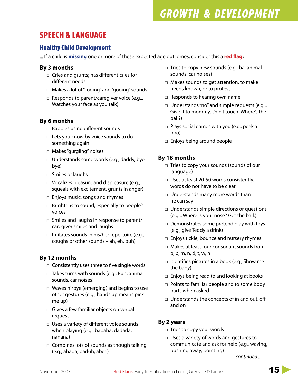# SPEECH & LANGUAGE

## Healthy Child Development

... If a child is **missing** one or more of these expected age outcomes, consider this a **red flag:**

### **By 3 months**

- □ Cries and grunts; has different cries for different needs
- □ Makes a lot of "cooing" and "gooing" sounds
- □ Responds to parent/caregiver voice (e.g.,, Watches your face as you talk)

### **By 6 months**

- □ Babbles using different sounds
- $\Box$  Lets you know by voice sounds to do something again
- □ Makes "gurgling" noises
- □ Understands some words (e.g., daddy, bye bye)
- □ Smiles or laughs
- □ Vocalizes pleasure and displeasure (e.g., squeals with excitement, grunts in anger)
- □ Enjoys music, songs and rhymes
- □ Brightens to sound, especially to people's voices
- □ Smiles and laughs in response to parent/ caregiver smiles and laughs
- □ Imitates sounds in his/her repertoire (e.g., coughs or other sounds – ah, eh, buh)

## **By 12 months**

- □ Consistently uses three to five single words
- □ Takes turns with sounds (e.g., Buh, animal sounds, car noises)
- □ Waves hi/bye (emerging) and begins to use other gestures (e.g., hands up means pick me up)
- □ Gives a few familiar objects on verbal request
- □ Uses a variety of different voice sounds when playing (e.g., bababa, dadada, nanana)
- □ Combines lots of sounds as though talking (e.g., abada, baduh, abee)
- □ Tries to copy new sounds (e.g., ba, animal sounds, car noises)
- □ Makes sounds to get attention, to make needs known, or to protest
- □ Responds to hearing own name
- □ Understands "no" and simple requests (e.g.,, Give it to mommy. Don't touch. Where's the ball?)
- □ Plays social games with you (e.g., peek a boo)
- □ Enjoys being around people

### **By 18 months**

- □ Tries to copy your sounds (sounds of our language)
- □ Uses at least 20-50 words consistently; words do not have to be clear
- □ Understands many more words than he can say
- □ Understands simple directions or questions (e.g.,, Where is your nose? Get the ball.)
- □ Demonstrates some pretend play with toys (e.g., give Teddy a drink)
- □ Enjoys tickle, bounce and nursery rhymes
- □ Makes at least four consonant sounds from p, b, m, n, d, t, w, h
- □ Identifies pictures in a book (e.g., Show me the baby)
- □ Enjoys being read to and looking at books
- □ Points to familiar people and to some body parts when asked
- □ Understands the concepts of in and out, off and on

### **By 2 years**

- □ Tries to copy your words
- □ Uses a variety of words and gestures to communicate and ask for help (e.g., waving, pushing away, pointing)

*continued ...*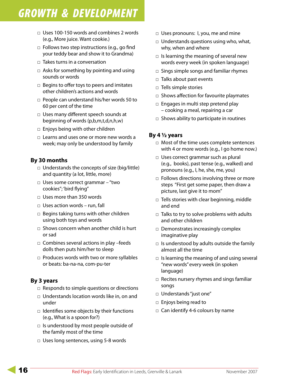- □ Uses 100-150 words and combines 2 words (e.g., More juice. Want cookie.)
- □ Follows two step instructions (e.g., go find your teddy bear and show it to Grandma)
- □ Takes turns in a conversation
- □ Asks for something by pointing and using sounds or words
- □ Begins to offer toys to peers and imitates other children's actions and words
- □ People can understand his/her words 50 to 60 per cent of the time
- □ Uses many different speech sounds at beginning of words (p,b,m,t,d,n,h,w)
- □ Enjoys being with other children
- □ Learns and uses one or more new words a week; may only be understood by family

### **By 30 months**

- □ Understands the concepts of size (big/little) and quantity (a lot, little, more)
- □ Uses some correct grammar "two cookies"; 'bird flying"
- □ Uses more than 350 words
- □ Uses action words run, fall
- □ Begins taking turns with other children using both toys and words
- □ Shows concern when another child is hurt or sad
- □ Combines several actions in play -feeds dolls then puts him/her to sleep
- □ Produces words with two or more syllables or beats: ba-na-na, com-pu-ter

### **By 3 years**

- □ Responds to simple questions or directions
- □ Understands location words like in, on and under
- □ Identifies some objects by their functions (e.g., What is a spoon for?)
- □ Is understood by most people outside of the family most of the time
- □ Uses long sentences, using 5-8 words
- □ Uses pronouns: I, you, me and mine
- □ Understands questions using who, what, why, when and where
- □ Is learning the meaning of several new words every week (in spoken language)
- □ Sings simple songs and familiar rhymes
- □ Talks about past events
- □ Tells simple stories
- □ Shows affection for favourite playmates
- □ Engages in multi step pretend play – cooking a meal, repairing a car
- □ Shows ability to participate in routines

### **By 4 ½ years**

- □ Most of the time uses complete sentences with 4 or more words (e.g., I go home now.)
- □ Uses correct grammar such as plural (e.g., books), past tense (e.g., walked) and pronouns (e.g., I, he, she, me, you)
- □ Follows directions involving three or more steps "First get some paper, then draw a picture, last give it to mom"
- □ Tells stories with clear beginning, middle and end
- □ Talks to try to solve problems with adults and other children
- □ Demonstrates increasingly complex imaginative play
- □ Is understood by adults outside the family almost all the time
- □ Is learning the meaning of and using several "new words" every week (in spoken language)
- □ Recites nursery rhymes and sings familiar songs
- □ Understands "just one"
- □ Enjoys being read to
- □ Can identify 4-6 colours by name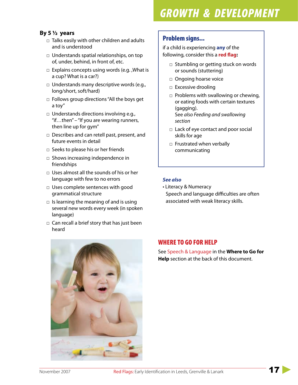### **By 5 ½ years**

- □ Talks easily with other children and adults and is understood
- □ Understands spatial relationships, on top of, under, behind, in front of, etc.
- □ Explains concepts using words (e.g. ,What is a cup? What is a car?)
- □ Understands many descriptive words (e.g., long/short, soft/hard)
- □ Follows group directions "All the boys get a toy"
- □ Understands directions involving e.g., "if…then" – "If you are wearing runners, then line up for gym"
- □ Describes and can retell past, present, and future events in detail
- □ Seeks to please his or her friends
- □ Shows increasing independence in friendships
- □ Uses almost all the sounds of his or her language with few to no errors
- □ Uses complete sentences with good grammatical structure
- $\Box$  Is learning the meaning of and is using several new words every week (in spoken language)
- □ Can recall a brief story that has just been heard



## Problem signs...

if a child is experiencing **any** of the following, consider this a **red flag:**

- □ Stumbling or getting stuck on words or sounds (stuttering)
- □ Ongoing hoarse voice
- □ Excessive drooling
- □ Problems with swallowing or chewing, or eating foods with certain textures (gagging). See *also Feeding and swallowing section*
- □ Lack of eye contact and poor social skills for age
- □ Frustrated when verbally communicating

### *See also*

• Literacy & Numeracy Speech and language difficulties are often associated with weak literacy skills.

## WHERE TO GO FOR HELP

See Speech & Language in the **Where to Go for Help** section at the back of this document.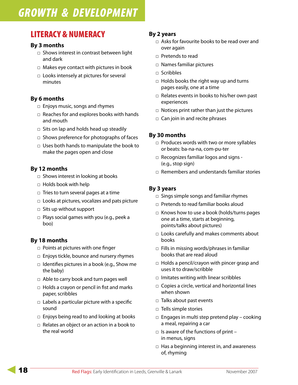# LITERACY & NUMERACY

### **By 3 months**

- □ Shows interest in contrast between light and dark
- □ Makes eye contact with pictures in book
- □ Looks intensely at pictures for several minutes

### **By 6 months**

- □ Enjoys music, songs and rhymes
- □ Reaches for and explores books with hands and mouth
- □ Sits on lap and holds head up steadily
- □ Shows preference for photographs of faces
- □ Uses both hands to manipulate the book to make the pages open and close

### **By 12 months**

- □ Shows interest in looking at books
- □ Holds book with help
- □ Tries to turn several pages at a time
- □ Looks at pictures, vocalizes and pats picture
- □ Sits up without support
- □ Plays social games with you (e.g., peek a boo)

### **By 18 months**

- □ Points at pictures with one finger
- □ Enjoys tickle, bounce and nursery rhymes
- □ Identifies pictures in a book (e.g., Show me the baby)
- □ Able to carry book and turn pages well
- □ Holds a crayon or pencil in fist and marks paper, scribbles
- $\Box$  Labels a particular picture with a specific sound
- $\Box$  Enjoys being read to and looking at books
- $\Box$  Relates an object or an action in a book to the real world

### **By 2 years**

- □ Asks for favourite books to be read over and over again
- □ Pretends to read
- □ Names familiar pictures
- □ Scribbles
- □ Holds books the right way up and turns pages easily, one at a time
- □ Relates events in books to his/her own past experiences
- □ Notices print rather than just the pictures
- □ Can join in and recite phrases

### **By 30 months**

- □ Produces words with two or more syllables or beats: ba-na-na, com-pu-ter
- □ Recognizes familiar logos and signs -(e.g., stop sign)
- □ Remembers and understands familiar stories

### **By 3 years**

- □ Sings simple songs and familiar rhymes
- □ Pretends to read familiar books aloud
- □ Knows how to use a book (holds/turns pages one at a time, starts at beginning, points/talks about pictures)
- □ Looks carefully and makes comments about books
- □ Fills in missing words/phrases in familiar books that are read aloud
- □ Holds a pencil/crayon with pincer grasp and uses it to draw/scribble
- □ Imitates writing with linear scribbles
- □ Copies a circle, vertical and horizontal lines when shown
- □ Talks about past events
- □ Tells simple stories
- □ Engages in multi step pretend play cooking a meal, repairing a car
- $\Box$  Is aware of the functions of print in menus, signs
- □ Has a beginning interest in, and awareness of, rhyming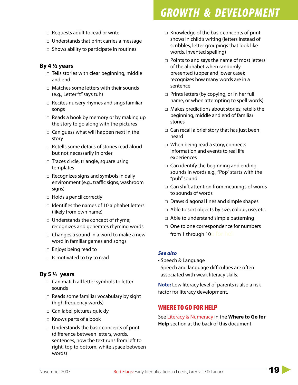- □ Requests adult to read or write
- □ Understands that print carries a message
- □ Shows ability to participate in routines

### **By 4 ½ years**

- □ Tells stories with clear beginning, middle and end
- □ Matches some letters with their sounds (e.g., Letter "t" says tuh)
- □ Recites nursery rhymes and sings familiar songs
- □ Reads a book by memory or by making up the story to go along with the pictures
- □ Can guess what will happen next in the story
- □ Retells some details of stories read aloud but not necessarily in order
- □ Traces circle, triangle, square using templates
- □ Recognizes signs and symbols in daily environment (e.g., traffic signs, washroom signs)
- □ Holds a pencil correctly
- □ Identifies the names of 10 alphabet letters (likely from own name)
- □ Understands the concept of rhyme; recognizes and generates rhyming words
- $\Box$  Changes a sound in a word to make a new word in familiar games and songs
- □ Enjoys being read to
- □ Is motivated to try to read

### **By 5 ½ years**

- □ Can match all letter symbols to letter sounds
- □ Reads some familiar vocabulary by sight (high frequency words)
- □ Can label pictures quickly
- □ Knows parts of a book
- □ Understands the basic concepts of print (difference between letters, words, sentences, how the text runs from left to right, top to bottom, white space between words)
- □ Knowledge of the basic concepts of print shows in child's writing (letters instead of scribbles, letter groupings that look like words, invented spelling)
- □ Points to and says the name of most letters of the alphabet when randomly presented (upper and lower case); recognizes how many words are in a sentence
- □ Prints letters (by copying, or in her full name, or when attempting to spell words)
- □ Makes predictions about stories; retells the beginning, middle and end of familiar stories
- □ Can recall a brief story that has just been heard
- □ When being read a story, connects information and events to real life experiences
- □ Can identify the beginning and ending sounds in words e.g., "Pop" starts with the "puh" sound
- □ Can shift attention from meanings of words to sounds of words
- □ Draws diagonal lines and simple shapes
- $\Box$  Able to sort objects by size, colour, use, etc.
- □ Able to understand simple patterning
- □ One to one correspondence for numbers from 1 through 10o for hel

#### *See also*

• Speech & Language Speech and language difficulties are often associated with weak literacy skills.

**Note:** Low literacy level of parents is also a risk factor for literacy development.

## WHERE TO GO FOR HELP

See Literacy & Numeracy in the **Where to Go for Help** section at the back of this document.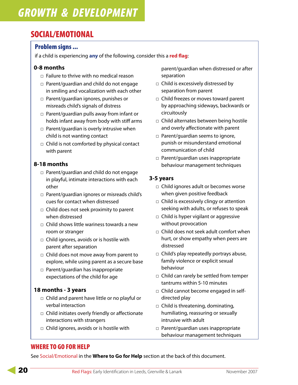# SOCIAL/EMOTIONAL

### Problem signs ...

if a child is experiencing **any** of the following, consider this a **red flag**:

### **0-8 months**

- □ Failure to thrive with no medical reason
- □ Parent/guardian and child do not engage in smiling and vocalization with each other
- □ Parent/guardian ignores, punishes or misreads child's signals of distress
- □ Parent/guardian pulls away from infant or holds infant away from body with stiff arms
- □ Parent/guardian is overly intrusive when child is not wanting contact
- □ Child is not comforted by physical contact with parent

## **8-18 months**

- □ Parent/guardian and child do not engage in playful, intimate interactions with each other
- □ Parent/guardian ignores or misreads child's cues for contact when distressed
- □ Child does not seek proximity to parent when distressed
- □ Child shows little wariness towards a new room or stranger
- □ Child ignores, avoids or is hostile with parent after separation
- □ Child does not move away from parent to explore, while using parent as a secure base
- □ Parent/guardian has inappropriate expectations of the child for age

### **18 months - 3 years**

- □ Child and parent have little or no playful or verbal interaction
- □ Child initiates overly friendly or affectionate interactions with strangers
- □ Child ignores, avoids or is hostile with

parent/guardian when distressed or after separation

- □ Child is excessively distressed by separation from parent
- □ Child freezes or moves toward parent by approaching sideways, backwards or circuitously
- □ Child alternates between being hostile and overly affectionate with parent
- □ Parent/guardian seems to ignore, punish or misunderstand emotional communication of child
- □ Parent/guardian uses inappropriate behaviour management techniques

### **3-5 years**

- □ Child ignores adult or becomes worse when given positive feedback
- □ Child is excessively clingy or attention seeking with adults, or refuses to speak
- □ Child is hyper vigilant or aggressive without provocation
- □ Child does not seek adult comfort when hurt, or show empathy when peers are distressed
- □ Child's play repeatedly portrays abuse, family violence or explicit sexual behaviour
- □ Child can rarely be settled from temper tantrums within 5-10 minutes
- □ Child cannot become engaged in selfdirected play
- □ Child is threatening, dominating, humiliating, reassuring or sexually intrusive with adult
- □ Parent/guardian uses inappropriate behaviour management techniques

# WHERE TO GO FOR HELP

See Social/Emotional in the **Where to Go for Help** section at the back of this document.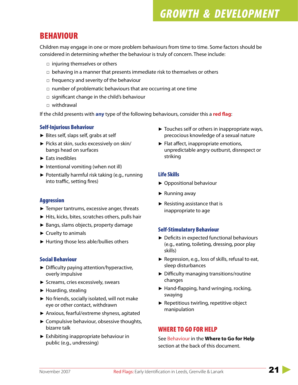# BEHAVIOUR

Children may engage in one or more problem behaviours from time to time. Some factors should be considered in determining whether the behaviour is truly of concern. These include:

- □ injuring themselves or others
- $\Box$  behaving in a manner that presents immediate risk to themselves or others
- □ frequency and severity of the behaviour
- $\Box$  number of problematic behaviours that are occurring at one time
- $\Box$  significant change in the child's behaviour
- □ withdrawal

If the child presents with **any** type of the following behaviours, consider this a **red flag**:

### Self-Injurious Behaviour

- ► Bites self, slaps self, grabs at self
- ► Picks at skin, sucks excessively on skin/ bangs head on surfaces
- ► Eats inedibles
- ► Intentional vomiting (when not ill)
- ▶ Potentially harmful risk taking (e.g., running into traffic, setting fires)

### Aggression

- ► Temper tantrums, excessive anger, threats
- ► Hits, kicks, bites, scratches others, pulls hair
- ► Bangs, slams objects, property damage
- ► Cruelty to animals
- ► Hurting those less able/bullies others

### Social Behaviour

- ► Difficulty paying attention/hyperactive, overly impulsive
- ► Screams, cries excessively, swears
- ► Hoarding, stealing
- ▶ No friends, socially isolated, will not make eye or other contact, withdrawn
- ► Anxious, fearful/extreme shyness, agitated
- ► Compulsive behaviour, obsessive thoughts, bizarre talk
- ► Exhibiting inappropriate behaviour in public (e.g., undressing)
- ► Touches self or others in inappropriate ways, precocious knowledge of a sexual nature
- ► Flat affect, inappropriate emotions, unpredictable angry outburst, disrespect or striking

### Life Skills

- ► Oppositional behaviour
- ► Running away
- ► Resisting assistance that is inappropriate to age

### Self-Stimulatory Behaviour

- ► Deficits in expected functional behaviours (e.g., eating, toileting, dressing, poor play skills)
- ▶ Regression, e.g., loss of skills, refusal to eat, sleep disturbances
- ► Difficulty managing transitions/routine changes
- ► Hand-flapping, hand wringing, rocking, swaying
- ▶ Repetitious twirling, repetitive object manipulation

## WHERE TO GO FOR HELP

See Behaviour in the **Where to Go for Help** section at the back of this document.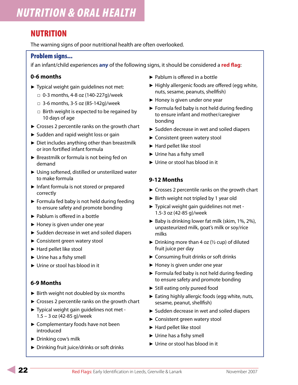# NUTRITION

The warning signs of poor nutritional health are often overlooked.

### Problem signs...

if an infant/child experiences **any** of the following signs, it should be considered a **red flag**:

### **0-6 months**

- ▶ Typical weight gain guidelines not met:
	- □ 0-3 months, 4-8 oz (140-227g)/week
	- □ 3-6 months, 3-5 oz (85-142g)/week
	- □ Birth weight is expected to be regained by 10 days of age
- ► Crosses 2 percentile ranks on the growth chart
- ► Sudden and rapid weight loss or gain
- ▶ Diet includes anything other than breastmilk or iron fortified infant formula
- ▶ Breastmilk or formula is not being fed on demand
- ► Using softened, distilled or unsterilized water to make formula
- ► Infant formula is not stored or prepared correctly
- ► Formula fed baby is not held during feeding to ensure safety and promote bonding
- ► Pablum is offered in a bottle
- ► Honey is given under one year
- ► Sudden decrease in wet and soiled diapers
- ► Consistent green watery stool
- ► Hard pellet like stool
- ► Urine has a fishy smell
- ► Urine or stool has blood in it

### **6-9 Months**

- ► Birth weight not doubled by six months
- ► Crosses 2 percentile ranks on the growth chart
- ▶ Typical weight gain guidelines not met -1.5 – 3 oz (42-85 g)/week
- ► Complementary foods have not been introduced
- ► Drinking cow's milk
- ▶ Drinking fruit juice/drinks or soft drinks
- ► Pablum is offered in a bottle
- ► Highly allergenic foods are offered (egg white, nuts, sesame, peanuts, shellfish)
- ► Honey is given under one year
- ► Formula fed baby is not held during feeding to ensure infant and mother/caregiver bonding
- ► Sudden decrease in wet and soiled diapers
- ► Consistent green watery stool
- ► Hard pellet like stool
- ► Urine has a fishy smell
- ► Urine or stool has blood in it

### **9-12 Months**

- ► Crosses 2 percentile ranks on the growth chart
- ► Birth weight not tripled by 1 year old
- ▶ Typical weight gain guidelines not met -1.5-3 oz (42-85 g)/week
- ▶ Baby is drinking lower fat milk (skim, 1%, 2%), unpasteurized milk, goat's milk or soy/rice milks
- $\triangleright$  Drinking more than 4 oz ( $\frac{1}{2}$  cup) of diluted fruit juice per day
- ► Consuming fruit drinks or soft drinks
- ► Honey is given under one year
- ► Formula fed baby is not held during feeding to ensure safety and promote bonding
- ► Still eating only pureed food
- ► Eating highly allergic foods (egg white, nuts, sesame, peanut, shellfish)
- ► Sudden decrease in wet and soiled diapers
- ► Consistent green watery stool
- ► Hard pellet like stool
- ► Urine has a fishy smell
- ► Urine or stool has blood in it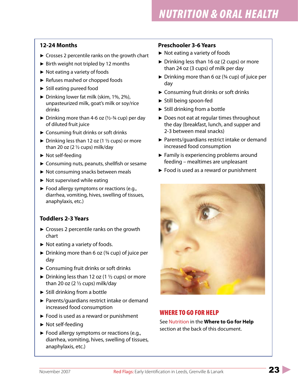### **12-24 Months**

- ► Crosses 2 percentile ranks on the growth chart
- ► Birth weight not tripled by 12 months
- ► Not eating a variety of foods
- ► Refuses mashed or chopped foods
- ► Still eating pureed food
- ▶ Drinking lower fat milk (skim, 1%, 2%), unpasteurized milk, goat's milk or soy/rice drinks
- $\triangleright$  Drinking more than 4-6 oz ( $\frac{1}{2}$ -3/4 cup) per day of diluted fruit juice
- ► Consuming fruit drinks or soft drinks
- $\blacktriangleright$  Drinking less than 12 oz (1  $\frac{1}{2}$  cups) or more than 20 oz  $(2 *1* / 2)$  cups) milk/day
- ► Not self-feeding
- ► Consuming nuts, peanuts, shellfish or sesame
- ► Not consuming snacks between meals
- ► Not supervised while eating
- ► Food allergy symptoms or reactions (e.g., diarrhea, vomiting, hives, swelling of tissues, anaphylaxis, etc.)

## **Toddlers 2-3 Years**

- ► Crosses 2 percentile ranks on the growth chart
- ► Not eating a variety of foods.
- $\blacktriangleright$  Drinking more than 6 oz ( $\frac{3}{4}$  cup) of juice per day
- ► Consuming fruit drinks or soft drinks
- $\triangleright$  Drinking less than 12 oz (1  $\frac{1}{2}$  cups) or more than 20 oz  $(2 \frac{1}{2})$  cups) milk/day
- ► Still drinking from a bottle
- ▶ Parents/guardians restrict intake or demand increased food consumption
- ► Food is used as a reward or punishment
- ► Not self-feeding
- ► Food allergy symptoms or reactions (e.g., diarrhea, vomiting, hives, swelling of tissues, anaphylaxis, etc.)

### **Preschooler 3-6 Years**

- ► Not eating a variety of foods
- ► Drinking less than 16 oz (2 cups) or more than 24 oz (3 cups) of milk per day
- $\triangleright$  Drinking more than 6 oz ( $\frac{3}{4}$  cup) of juice per day
- ► Consuming fruit drinks or soft drinks
- ► Still being spoon-fed
- ► Still drinking from a bottle
- ▶ Does not eat at regular times throughout the day (breakfast, lunch, and supper and 2-3 between meal snacks)
- ▶ Parents/guardians restrict intake or demand increased food consumption
- ► Family is experiencing problems around feeding – mealtimes are unpleasant
- ► Food is used as a reward or punishment



## WHERE TO GO FOR HELP

See Nutrition in the **Where to Go for Help** section at the back of this document.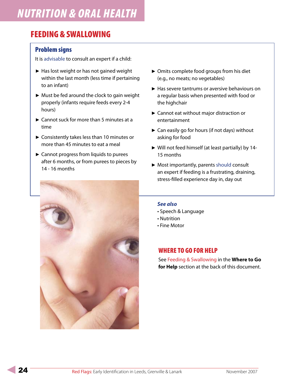# FEEDING & SWALLOWING

## Problem signs

It is advisable to consult an expert if a child:

- ► Has lost weight or has not gained weight within the last month (less time if pertaining to an infant)
- ► Must be fed around the clock to gain weight properly (infants require feeds every 2-4 hours)
- ► Cannot suck for more than 5 minutes at a time
- ► Consistently takes less than 10 minutes or more than 45 minutes to eat a meal
- ► Cannot progress from liquids to purees after 6 months, or from purees to pieces by 14 - 16 months



- ► Omits complete food groups from his diet (e.g., no meats; no vegetables)
- ► Has severe tantrums or aversive behaviours on a regular basis when presented with food or the highchair
- ► Cannot eat without major distraction or entertainment
- ► Can easily go for hours (if not days) without asking for food
- ► Will not feed himself (at least partially) by 14 15 months
- ► Most importantly, parents should consult an expert if feeding is a frustrating, draining, stress-filled experience day in, day out

#### *See also*

- Speech & Language
- Nutrition
- Fine Motor

## WHERE TO GO FOR HELP

See Feeding & Swallowing in the **Where to Go for Help** section at the back of this document.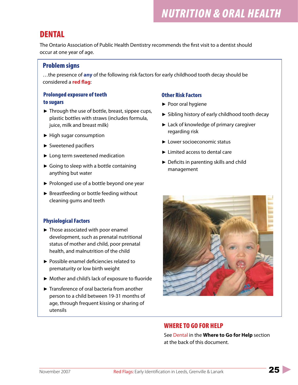# *NUTRITION & ORAL HEALTH*

# DENTAL

The Ontario Association of Public Health Dentistry recommends the first visit to a dentist should occur at one year of age.

## Problem signs

…the presence of **any** of the following risk factors for early childhood tooth decay should be considered a **red flag**:

### Prolonged exposure of teeth to sugars

- ► Through the use of bottle, breast, sippee cups, plastic bottles with straws (includes formula, juice, milk and breast milk)
- ► High sugar consumption
- ► Sweetened pacifiers
- ► Long term sweetened medication
- ► Going to sleep with a bottle containing anything but water
- ► Prolonged use of a bottle beyond one year
- ► Breastfeeding or bottle feeding without cleaning gums and teeth

### Physiological Factors

- ► Those associated with poor enamel development, such as prenatal nutritional status of mother and child, poor prenatal health, and malnutrition of the child
- ▶ Possible enamel deficiencies related to prematurity or low birth weight
- ► Mother and child's lack of exposure to fluoride
- ► Transference of oral bacteria from another person to a child between 19-31 months of age, through frequent kissing or sharing of utensils

### Other Risk Factors

- ▶ Poor oral hygiene
- ► Sibling history of early childhood tooth decay
- ► Lack of knowledge of primary caregiver regarding risk
- ► Lower socioeconomic status
- ► Limited access to dental care
- ► Deficits in parenting skills and child management



## WHERE TO GO FOR HELP

See Dental in the **Where to Go for Help** section at the back of this document.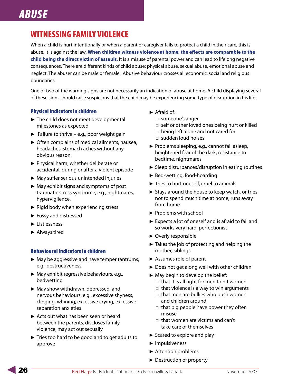# *ABUSE*

# WITNESSING FAMILY VIOLENCE

When a child is hurt intentionally or when a parent or caregiver fails to protect a child in their care, this is abuse. It is against the law. **When children witness violence at home, the effects are comparable to the child being the direct victim of assault.** It is a misuse of parental power and can lead to lifelong negative consequences. There are different kinds of child abuse: physical abuse, sexual abuse, emotional abuse and neglect. The abuser can be male or female. Abusive behaviour crosses all economic, social and religious boundaries.

One or two of the warning signs are not necessarily an indication of abuse at home. A child displaying several of these signs should raise suspicions that the child may be experiencing some type of disruption in his life.

### Physical indicators in children

- ► The child does not meet developmental milestones as expected
- ► Failure to thrive e.g., poor weight gain
- ► Often complains of medical ailments, nausea, headaches, stomach aches without any obvious reason.
- ▶ Physical harm, whether deliberate or accidental, during or after a violent episode
- ► May suffer serious unintended injuries
- ► May exhibit signs and symptoms of post traumatic stress syndrome, e.g., nightmares, hypervigilence.
- ► Rigid body when experiencing stress
- ► Fussy and distressed
- ► Listlessness
- ► Always tired

#### Behavioural indicators in children

- ► May be aggressive and have temper tantrums, e.g., destructiveness
- ► May exhibit regressive behaviours, e.g., bedwetting
- ► May show withdrawn, depressed, and nervous behaviours, e.g., excessive shyness, clinging, whining, excessive crying, excessive separation anxieties
- ► Acts out what has been seen or heard between the parents, discloses family violence, may act out sexually
- ► Tries too hard to be good and to get adults to approve
- ► Afraid of:
	- □ someone's anger
	- □ self or other loved ones being hurt or killed
	- □ being left alone and not cared for
	- □ sudden loud noises
- ▶ Problems sleeping, e.g., cannot fall asleep, heightened fear of the dark, resistance to bedtime, nightmares
- ► Sleep disturbances/disruption in eating routines
- ► Bed-wetting, food-hoarding
- ► Tries to hurt oneself, cruel to animals
- ► Stays around the house to keep watch, or tries not to spend much time at home, runs away from home
- ▶ Problems with school
- ► Expects a lot of oneself and is afraid to fail and so works very hard, perfectionist
- ► Overly responsible
- ► Takes the job of protecting and helping the mother, siblings
- ► Assumes role of parent
- ► Does not get along well with other children
- ► May begin to develop the belief:
	- $\square$  that it is all right for men to hit women
	- $\Box$  that violence is a way to win arguments
	- □ that men are bullies who push women and children around
	- □ that big people have power they often misuse
	- $\Box$  that women are victims and can't take care of themselves
- ► Scared to explore and play
- ► Impulsiveness
- ► Attention problems
- ► Destruction of property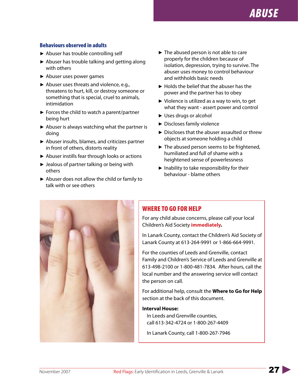### Behaviours observed in adults

- ► Abuser has trouble controlling self
- ► Abuser has trouble talking and getting along with others
- ► Abuser uses power games
- ▶ Abuser uses threats and violence, e.g., threatens to hurt, kill, or destroy someone or something that is special, cruel to animals, intimidation
- ► Forces the child to watch a parent/partner being hurt
- ▶ Abuser is always watching what the partner is doing
- ► Abuser insults, blames, and criticizes partner in front of others, distorts reality
- ► Abuser instills fear through looks or actions
- ► Jealous of partner talking or being with others
- ► Abuser does not allow the child or family to talk with or see others
- ► The abused person is not able to care properly for the children because of isolation, depression, trying to survive. The abuser uses money to control behaviour and withholds basic needs
- ► Holds the belief that the abuser has the power and the partner has to obey
- ▶ Violence is utilized as a way to win, to get what they want - assert power and control
- ► Uses drugs or alcohol
- ► Discloses family violence
- ▶ Discloses that the abuser assaulted or threw objects at someone holding a child
- ► The abused person seems to be frightened, humiliated and full of shame with a heightened sense of powerlessness
- ► Inability to take responsibility for their behaviour - blame others



## WHERE TO GO FOR HELP

For any child abuse concerns, please call your local Children's Aid Society **immediately.**

In Lanark County, contact the Children's Aid Society of Lanark County at 613-264-9991 or 1-866-664-9991.

For the counties of Leeds and Grenville, contact Family and Children's Service of Leeds and Grenville at 613-498-2100 or 1-800-481-7834. After hours, call the local number and the answering service will contact the person on call.

For additional help, consult the **Where to Go for Help** section at the back of this document.

#### **Interval House:**

In Leeds and Grenville counties, call 613-342-4724 or 1-800-267-4409

In Lanark County, call 1-800-267-7946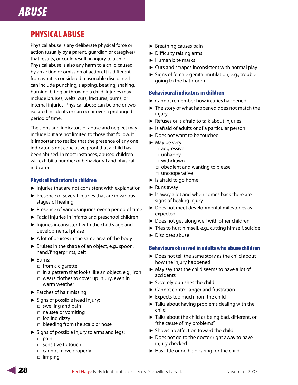# *ABUSE*

# PHYSICAL ABUSE

Physical abuse is any deliberate physical force or action (usually by a parent, guardian or caregiver) that results, or could result, in injury to a child. Physical abuse is also any harm to a child caused by an action or omission of action. It is different from what is considered reasonable discipline. It can include punching, slapping, beating, shaking, burning, biting or throwing a child. Injuries may include bruises, welts, cuts, fractures, burns, or internal injuries. Physical abuse can be one or two isolated incidents or can occur over a prolonged period of time.

The signs and indicators of abuse and neglect may include but are not limited to those that follow. It is important to realize that the presence of any one indicator is not conclusive proof that a child has been abused. In most instances, abused children will exhibit a number of behavioural and physical indicators.

### Physical indicators in children

- ► Injuries that are not consistent with explanation
- ▶ Presence of several injuries that are in various stages of healing
- ► Presence of various injuries over a period of time
- ► Facial injuries in infants and preschool children
- ► Injuries inconsistent with the child's age and developmental phase
- ► A lot of bruises in the same area of the body
- ► Bruises in the shape of an object, e.g., spoon, hand/fingerprints, belt
- ► Burns:
	- □ from a cigarette
	- $\Box$  in a pattern that looks like an object, e.g., iron
	- □ wears clothes to cover up injury, even in warm weather
- ► Patches of hair missing
- ► Signs of possible head injury:
	- □ swelling and pain
	- □ nausea or vomiting
	- □ feeling dizzy
	- □ bleeding from the scalp or nose
- ► Signs of possible injury to arms and legs:
	- □ pain
	- □ sensitive to touch
	- □ cannot move properly
	- □ limping
- ► Breathing causes pain
- ► Difficulty raising arms
- ► Human bite marks
- ► Cuts and scrapes inconsistent with normal play
- ► Signs of female genital mutilation, e.g., trouble going to the bathroom

### Behavioural indicators in children

- ► Cannot remember how injuries happened
- ► The story of what happened does not match the injury
- ► Refuses or is afraid to talk about injuries
- ► Is afraid of adults or of a particular person
- ► Does not want to be touched
- ► May be very:
	- □ aggressive
	- □ unhappy
	- □ withdrawn
	- □ obedient and wanting to please
	- □ uncooperative
- ► Is afraid to go home
- ► Runs away
- ► Is away a lot and when comes back there are signs of healing injury
- ▶ Does not meet developmental milestones as expected
- ► Does not get along well with other children
- ► Tries to hurt himself, e.g., cutting himself, suicide
- ► Discloses abuse

#### Behaviours observed in adults who abuse children

- ► Does not tell the same story as the child about how the injury happened
- ► May say that the child seems to have a lot of accidents
- ► Severely punishes the child
- ► Cannot control anger and frustration
- ► Expects too much from the child
- ► Talks about having problems dealing with the child
- ► Talks about the child as being bad, different, or "the cause of my problems"
- ► Shows no affection toward the child
- ► Does not go to the doctor right away to have injury checked
- ► Has little or no help caring for the child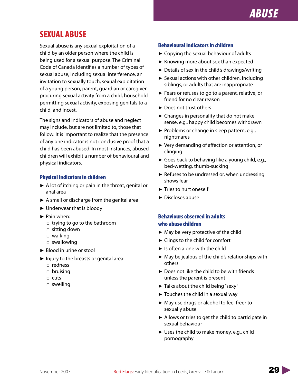

# SEXUAL ABUSE

Sexual abuse is any sexual exploitation of a child by an older person where the child is being used for a sexual purpose. The Criminal Code of Canada identifies a number of types of sexual abuse, including sexual interference, an invitation to sexually touch, sexual exploitation of a young person, parent, guardian or caregiver procuring sexual activity from a child, household permitting sexual activity, exposing genitals to a child, and incest.

The signs and indicators of abuse and neglect may include, but are not limited to, those that follow. It is important to realize that the presence of any one indicator is not conclusive proof that a child has been abused. In most instances, abused children will exhibit a number of behavioural and physical indicators.

#### Physical indicators in children

- ► A lot of itching or pain in the throat, genital or anal area
- ▶ A smell or discharge from the genital area
- ► Underwear that is bloody
- ▶ Pain when:
	- □ trying to go to the bathroom
	- □ sitting down
	- □ walking
	- □ swallowing
- ► Blood in urine or stool
- ► Injury to the breasts or genital area:
	- □ redness
	- □ bruising
	- □ cuts
	- □ swelling

#### Behavioural indicators in children

- ► Copying the sexual behaviour of adults
- ► Knowing more about sex than expected
- ► Details of sex in the child's drawings/writing
- ► Sexual actions with other children, including siblings, or adults that are inappropriate
- ► Fears or refuses to go to a parent, relative, or friend for no clear reason
- ► Does not trust others
- ► Changes in personality that do not make sense, e.g., happy child becomes withdrawn
- ▶ Problems or change in sleep pattern, e.g., nightmares
- ▶ Very demanding of affection or attention, or clinging
- ► Goes back to behaving like a young child, e.g., bed-wetting, thumb-sucking
- ► Refuses to be undressed or, when undressing shows fear
- ► Tries to hurt oneself
- ► Discloses abuse

### Behaviours observed in adults who abuse children

- ► May be very protective of the child
- ► Clings to the child for comfort
- ► Is often alone with the child
- ► May be jealous of the child's relationships with others
- ▶ Does not like the child to be with friends unless the parent is present
- ► Talks about the child being "sexy"
- ► Touches the child in a sexual way
- ► May use drugs or alcohol to feel freer to sexually abuse
- ▶ Allows or tries to get the child to participate in sexual behaviour
- ► Uses the child to make money, e.g., child pornography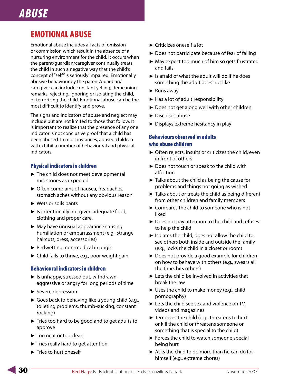# *ABUSE*

# EMOTIONAL ABUSE

Emotional abuse includes all acts of omission or commission which result in the absence of a nurturing environment for the child. It occurs when the parent/guardian/caregiver continually treats the child in such a negative way that the child's concept of "self" is seriously impaired. Emotionally abusive behaviour by the parent/guardian/ caregiver can include constant yelling, demeaning remarks, rejecting, ignoring or isolating the child, or terrorizing the child. Emotional abuse can be the most difficult to identify and prove.

The signs and indicators of abuse and neglect may include but are not limited to those that follow. It is important to realize that the presence of any one indicator is not conclusive proof that a child has been abused. In most instances, abused children will exhibit a number of behavioural and physical indicators.

### Physical indicators in children

- ► The child does not meet developmental milestones as expected
- ► Often complains of nausea, headaches, stomach aches without any obvious reason
- ► Wets or soils pants
- ► Is intentionally not given adequate food, clothing and proper care.
- ► May have unusual appearance causing humiliation or embarrassment (e.g., strange haircuts, dress, accessories)
- ► Bedwetting, non-medical in origin
- ► Child fails to thrive, e.g., poor weight gain

### Behavioural indicators in children

- ► Is unhappy, stressed out, withdrawn, aggressive or angry for long periods of time
- ► Severe depression
- ► Goes back to behaving like a young child (e.g., toileting problems, thumb-sucking, constant rocking)
- ► Tries too hard to be good and to get adults to approve
- ► Too neat or too clean
- ► Tries really hard to get attention
- ► Tries to hurt oneself
- ► Criticizes oneself a lot
- ► Does not participate because of fear of failing
- ► May expect too much of him so gets frustrated and fails
- $\blacktriangleright$  Is afraid of what the adult will do if he does something the adult does not like
- ► Runs away
- ► Has a lot of adult responsibility
- ► Does not get along well with other children
- ► Discloses abuse
- ► Displays extreme hesitancy in play

### Behaviours observed in adults who abuse children

- ▶ Often rejects, insults or criticizes the child, even in front of others
- ► Does not touch or speak to the child with affection
- ► Talks about the child as being the cause for problems and things not going as wished
- ► Talks about or treats the child as being different from other children and family members
- ► Compares the child to someone who is not liked
- ► Does not pay attention to the child and refuses to help the child
- $\blacktriangleright$  Isolates the child, does not allow the child to see others both inside and outside the family (e.g., locks the child in a closet or room)
- ► Does not provide a good example for children on how to behave with others (e.g., swears all the time, hits others)
- ► Lets the child be involved in activities that break the law
- ► Uses the child to make money (e.g., child pornography)
- ► Lets the child see sex and violence on TV, videos and magazines
- ▶ Terrorizes the child (e.g., threatens to hurt or kill the child or threatens someone or something that is special to the child)
- ► Forces the child to watch someone special being hurt
- ► Asks the child to do more than he can do for himself (e.g., extreme chores)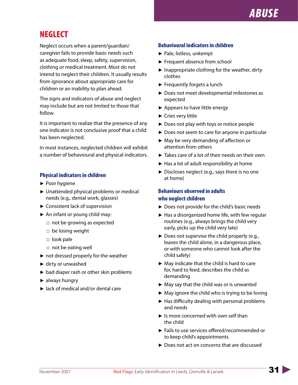# **NEGLECT**

Neglect occurs when a parent/guardian/ caregiver fails to provide basic needs such as adequate food, sleep, safety, supervision, clothing or medical treatment. Most do not intend to neglect their children. It usually results from ignorance about appropriate care for children or an inability to plan ahead.

The signs and indicators of abuse and neglect may include but are not limited to those that follow.

It is important to realize that the presence of any one indicator is not conclusive proof that a child has been neglected.

In most instances, neglected children will exhibit a number of behavioural and physical indicators.

### Physical indicators in children

- ► Poor hygiene
- ▶ Unattended physical problems or medical needs (e.g., dental work, glasses)
- ► Consistent lack of supervision
- ► An infant or young child may:
	- □ not be growing as expected
	- □ be losing weight
	- □ look pale
	- □ not be eating well
- ► not dressed properly for the weather
- ► dirty or unwashed
- ► bad diaper rash or other skin problems
- ► always hungry
- ► lack of medical and/or dental care

### Behavioural indicators in children

- ► Pale, listless, unkempt
- ► Frequent absence from school
- ▶ Inappropriate clothing for the weather, dirty clothes
- ► Frequently forgets a lunch
- ▶ Does not meet developmental milestones as expected
- ► Appears to have little energy
- ► Cries very little
- ► Does not play with toys or notice people
- ► Does not seem to care for anyone in particular
- ► May be very demanding of affection or attention from others
- ► Takes care of a lot of their needs on their own
- ► Has a lot of adult responsibility at home
- ▶ Discloses neglect (e.g., says there is no one at home)

### Behaviours observed in adults who neglect children

- ► Does not provide for the child's basic needs
- ► Has a disorganized home life, with few regular routines (e.g., always brings the child very early, picks up the child very late)
- ▶ Does not supervise the child properly (e.g., leaves the child alone, in a dangerous place, or with someone who cannot look after the child safely)
- ► May indicate that the child is hard to care for, hard to feed, describes the child as demanding
- ► May say that the child was or is unwanted
- ► May ignore the child who is trying to be loving
- ► Has difficulty dealing with personal problems and needs
- ► Is more concerned with own self than the child
- ▶ Fails to use services offered/recommended or to keep child's appointments
- ► Does not act on concerns that are discussed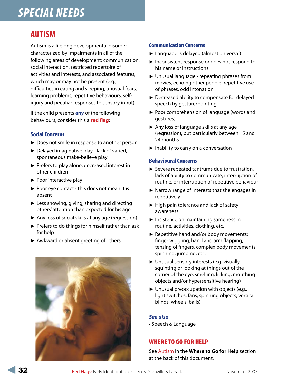# AUTISM

Autism is a lifelong developmental disorder characterized by impairments in all of the following areas of development: communication, social interaction, restricted repertoire of activities and interests, and associated features, which may or may not be present (e.g., difficulties in eating and sleeping, unusual fears, learning problems, repetitive behaviours, selfinjury and peculiar responses to sensory input).

If the child presents **any** of the following behaviours, consider this a **red flag**:

### Social Concerns

- ▶ Does not smile in response to another person
- ► Delayed imaginative play lack of varied, spontaneous make-believe play
- ▶ Prefers to play alone, decreased interest in other children
- ► Poor interactive play
- ▶ Poor eye contact this does not mean it is absent
- ► Less showing, giving, sharing and directing others' attention than expected for his age
- ▶ Any loss of social skills at any age (regression)
- ▶ Prefers to do things for himself rather than ask for help
- ► Awkward or absent greeting of others



### Communication Concerns

- ► Language is delayed (almost universal)
- ▶ Inconsistent response or does not respond to his name or instructions
- ► Unusual language repeating phrases from movies, echoing other people, repetitive use of phrases, odd intonation
- ▶ Decreased ability to compensate for delayed speech by gesture/pointing
- ▶ Poor comprehension of language (words and gestures)
- ► Any loss of language skills at any age (regression), but particularly between 15 and 24 months
- ► Inability to carry on a conversation

#### Behavioural Concerns

- ▶ Severe repeated tantrums due to frustration, lack of ability to communicate, interruption of routine, or interruption of repetitive behaviour
- ▶ Narrow range of interests that she engages in repetitively
- ► High pain tolerance and lack of safety awareness
- ▶ Insistence on maintaining sameness in routine, activities, clothing, etc.
- ▶ Repetitive hand and/or body movements: finger wiggling, hand and arm flapping, tensing of fingers, complex body movements, spinning, jumping, etc.
- ► Unusual sensory interests (e.g. visually squinting or looking at things out of the corner of the eye, smelling, licking, mouthing objects and/or hypersensitive hearing)
- ► Unusual preoccupation with objects (e.g., light switches, fans, spinning objects, vertical blinds, wheels, balls)

### *See also*

• Speech & Language

## WHERE TO GO FOR HELP

See Autism in the **Where to Go for Help** section at the back of this document.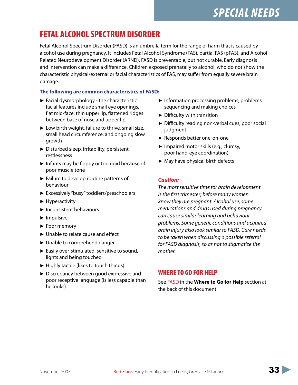# FETAL ALCOHOL SPECTRUM DISORDER

Fetal Alcohol Spectrum Disorder (FASD) is an umbrella term for the range of harm that is caused by alcohol use during pregnancy. It includes Fetal Alcohol Syndrome (FAS), partial FAS (pFAS), and Alcohol Related Neurodevelopment Disorder (ARND). FASD is preventable, but not curable. Early diagnosis and intervention can make a difference. Children exposed prenatally to alcohol, who do not show the characteristic physical/external or facial characteristics of FAS, may suffer from equally severe brain damage.

### **The following are common characteristics of FASD:**

- ► Facial dysmorphology the characteristic facial features include small eye openings, flat mid-face, thin upper lip, flattened ridges between base of nose and upper lip
- ► Low birth weight, failure to thrive, small size, small head circumference, and ongoing slow growth
- ▶ Disturbed sleep, irritability, persistent restlessness
- ► Infants may be floppy or too rigid because of poor muscle tone
- ► Failure to develop routine patterns of behaviour
- ► Excessively "busy" toddlers/preschoolers
- ► Hyperactivity
- ► Inconsistent behaviours
- ► Impulsive
- ▶ Poor memory
- ► Unable to relate cause and effect
- ► Unable to comprehend danger
- ► Easily over-stimulated, sensitive to sound, lights and being touched
- ► Highly tactile (likes to touch things)
- ► Discrepancy between good expressive and poor receptive language (is less capable than he looks)
- ► Information processing problems, problems sequencing and making choices
- ► Difficulty with transition
- ► Difficulty reading non-verbal cues, poor social judgment
- ► Responds better one-on-one
- ► Impaired motor skills (e.g., clumsy, poor hand-eye coordination)
- ► May have physical birth defects

### *Caution:*

*The most sensitive time for brain development is the first trimester; before many women know they are pregnant. Alcohol use, some medications and drugs used during pregnancy can cause similar learning and behaviour problems. Some genetic conditions and acquired brain injury also look similar to FASD. Care needs to be taken when discussing a possible referral for FASD diagnosis, so as not to stigmatize the mother.*

## WHERE TO GO FOR HELP

See FASD in the **Where to Go for Help** section at the back of this document.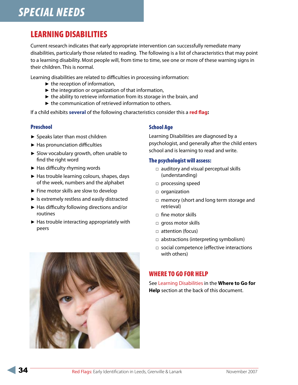# LEARNING DISABILITIES

Current research indicates that early appropriate intervention can successfully remediate many disabilities, particularly those related to reading. The following is a list of characteristics that may point to a learning disability. Most people will, from time to time, see one or more of these warning signs in their children. This is normal.

Learning disabilities are related to difficulties in processing information:

- ► the reception of information,
- ► the integration or organization of that information,
- ► the ability to retrieve information from its storage in the brain, and
- ► the communication of retrieved information to others.

If a child exhibits **several** of the following characteristics consider this a **red flag:**

### Preschool

- ► Speaks later than most children
- ► Has pronunciation difficulties
- ▶ Slow vocabulary growth, often unable to find the right word
- ► Has difficulty rhyming words
- ► Has trouble learning colours, shapes, days of the week, numbers and the alphabet
- ► Fine motor skills are slow to develop
- ► Is extremely restless and easily distracted
- ► Has difficulty following directions and/or routines
- ► Has trouble interacting appropriately with peers

#### School Age

Learning Disabilities are diagnosed by a psychologist, and generally after the child enters school and is learning to read and write.

#### The psychologist will assess:

- □ auditory and visual perceptual skills (understanding)
- □ processing speed
- □ organization
- □ memory (short and long term storage and retrieval)
- □ fine motor skills
- □ gross motor skills
- □ attention (focus)
- □ abstractions (interpreting symbolism)
- □ social competence (effective interactions with others)

## WHERE TO GO FOR HELP

See Learning Disabilities in the **Where to Go for Help** section at the back of this document.

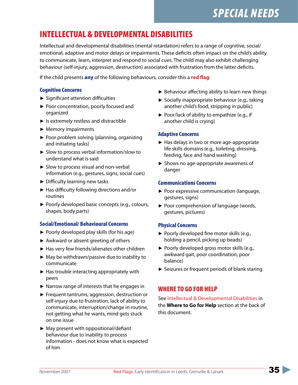# INTELLECTUAL & DEVELOPMENTAL DISABILITIES

Intellectual and developmental disabilities (mental retardation) refers to a range of cognitive, social/ emotional, adaptive and motor delays or impairments. These deficits often impact on the child's ability to communicate, learn, interpret and respond to social cues. The child may also exhibit challenging behaviour (self-injury, aggression, destruction) associated with frustration from the latter deficits.

If the child presents any of the following behaviours, consider this a **red flag**:

### Cognitive Concerns

- ► Significant attention difficulties
- ▶ Poor concentration, poorly focused and organized
- ► Is extremely restless and distractible
- ► Memory impairments
- ▶ Poor problem solving (planning, organizing and initiating tasks)
- ► Slow to process verbal information/slow to understand what is said
- ► Slow to process visual and non-verbal information (e.g., gestures, signs, social cues)
- ► Difficulty learning new tasks
- ► Has difficulty following directions and/or routines
- ▶ Poorly developed basic concepts (e.g., colours, shapes, body parts)

### Social/Emotional/ Behavioural Concerns

- ► Poorly developed play skills (for his age)
- ► Awkward or absent greeting of others
- ► Has very few friends/alienates other children
- ► May be withdrawn/passive due to inability to communicate
- ► Has trouble interacting appropriately with peers
- ▶ Narrow range of interests that he engages in
- ► Frequent tantrums, aggression, destruction or self-injury due to frustration, lack of ability to communicate, interruption/change in routine, not getting what he wants, mind gets stuck on one issue
- ► May present with oppositional/defiant behaviour due to inability to process information - does not know what is expected of him
- ► Behaviour affecting ability to learn new things
- ▶ Socially inappropriate behaviour (e.g., taking another child's food, stripping in public)
- ▶ Poor/lack of ability to empathize (e.g., if another child is crying)

### Adaptive Concerns

- ► Has delays in two or more age-appropriate life skills domains (e.g., toileting, dressing, feeding, face and hand washing)
- ► Shows no age-appropriate awareness of danger

### Communications Concerns

- ▶ Poor expressive communication (language, gestures, signs)
- ▶ Poor comprehension of language (words, gestures, pictures)

### Physical Concerns

- ▶ Poorly developed fine motor skills (e.g., holding a pencil, picking up beads)
- ▶ Poorly developed gross motor skills (e.g., awkward gait, poor coordination, poor balance)
- ► Seizures or frequent periods of blank staring

## WHERE TO GO FOR HELP

See Intellectual & Developmental Disabilities in the **Where to Go for Help** section at the back of this document.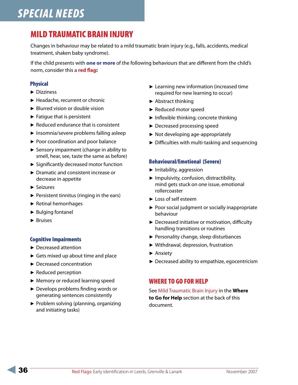# MILD TRAUMATIC BRAIN INJURY

Changes in behaviour may be related to a mild traumatic brain injury (e.g., falls, accidents, medical treatment, shaken baby syndrome).

If the child presents with **one or more** of the following behaviours that are different from the child's norm, consider this a **red flag:**

### Physical

- ► Dizziness
- ► Headache, recurrent or chronic
- ► Blurred vision or double vision
- ► Fatigue that is persistent
- ► Reduced endurance that is consistent
- ► Insomnia/severe problems falling asleep
- ▶ Poor coordination and poor balance
- ► Sensory impairment (change in ability to smell, hear, see, taste the same as before)
- ► Significantly decreased motor function
- ► Dramatic and consistent increase or decrease in appetite
- ► Seizures
- ► Persistent tinnitus (ringing in the ears)
- ► Retinal hemorrhages
- ► Bulging fontanel
- ► Bruises

### Cognitive Impairments

- ► Decreased attention
- ► Gets mixed up about time and place
- ► Decreased concentration
- ► Reduced perception
- ► Memory or reduced learning speed
- ▶ Develops problems finding words or generating sentences consistently
- ▶ Problem solving (planning, organizing and initiating tasks)
- ► Learning new information (increased time required for new learning to occur)
- ► Abstract thinking
- ► Reduced motor speed
- ► Inflexible thinking; concrete thinking
- ► Decreased processing speed
- ► Not developing age-appropriately
- ► Difficulties with multi-tasking and sequencing

### Behavioural/Emotional (Severe)

- ► Irritability, aggression
- ▶ Impulsivity, confusion, distractibility, mind gets stuck on one issue, emotional rollercoaster
- ► Loss of self esteem
- ▶ Poor social judgment or socially inappropriate behaviour
- ▶ Decreased initiative or motivation, difficulty handling transitions or routines
- ▶ Personality change, sleep disturbances
- ► Withdrawal, depression, frustration
- ► Anxiety
- ► Decreased ability to empathize, egocentricism

### WHERE TO GO FOR HELP

See Mild Traumatic Brain Injury in the **Where to Go for Help** section at the back of this document.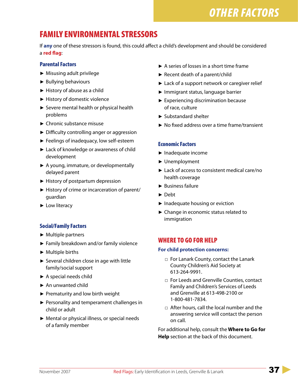# *OTHER FACTORS*

# FAMILY ENVIRONMENTAL STRESSORS

If **any** one of these stressors is found, this could affect a child's development and should be considered a **red flag**:

### Parental Factors

- ► Misusing adult privilege
- ► Bullying behaviours
- ► History of abuse as a child
- ► History of domestic violence
- ► Severe mental health or physical health problems
- ► Chronic substance misuse
- ► Difficulty controlling anger or aggression
- ► Feelings of inadequacy, low self-esteem
- ► Lack of knowledge or awareness of child development
- ▶ A young, immature, or developmentally delayed parent
- ► History of postpartum depression
- ► History of crime or incarceration of parent/ guardian
- ► Low literacy

### Social/Family Factors

- ► Multiple partners
- ► Family breakdown and/or family violence
- ► Multiple births
- ► Several children close in age with little family/social support
- ► A special needs child
- ► An unwanted child
- ► Prematurity and low birth weight
- ▶ Personality and temperament challenges in child or adult
- ► Mental or physical illness, or special needs of a family member
- ► A series of losses in a short time frame
- ► Recent death of a parent/child
- ► Lack of a support network or caregiver relief
- ► Immigrant status, language barrier
- ► Experiencing discrimination because of race, culture
- ► Substandard shelter
- ► No fixed address over a time frame/transient

### Economic Factors

- ► Inadequate income
- ► Unemployment
- ► Lack of access to consistent medical care/no health coverage
- ► Business failure
- ► Debt
- ► Inadequate housing or eviction
- ► Change in economic status related to immigration

## WHERE TO GO FOR HELP

#### **For child protection concerns:**

- □ For Lanark County, contact the Lanark County Children's Aid Society at 613-264-9991.
- □ For Leeds and Grenville Counties, contact Family and Children's Services of Leeds and Grenville at 613-498-2100 or 1-800-481-7834.
- □ After hours, call the local number and the answering service will contact the person on call.

For additional help, consult the **Where to Go for Help** section at the back of this document.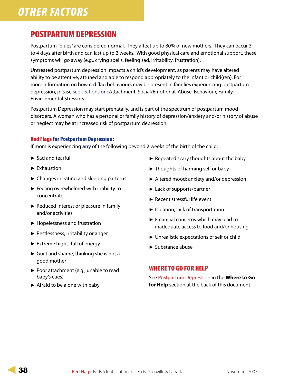# *OTHER FACTORS*

# POSTPARTUM DEPRESSION

Postpartum "blues" are considered normal. They affect up to 80% of new mothers. They can occur 3 to 4 days after birth and can last up to 2 weeks. With good physical care and emotional support, these symptoms will go away (e.g., crying spells, feeling sad, irritability, frustration).

Untreated postpartum depression impacts a child's development, as parents may have altered ability to be attentive, attuned and able to respond appropriately to the infant or child{ren}. For more information on how red flag behaviours may be present in families experiencing postpartum depression, please see sections on: Attachment, Social/Emotional, Abuse, Behaviour, Family Environmental Stressors.

Postpartum Depression may start prenatally, and is part of the spectrum of postpartum mood disorders. A woman who has a personal or family history of depression/anxiety and/or history of abuse or neglect may be at increased risk of postpartum depression.

### Red Flags for Postpartum Depression:

If mom is experiencing **any** of the following beyond 2 weeks of the birth of the child:

- ► Sad and tearful
- ► Exhaustion
- ► Changes in eating and sleeping patterns
- ► Feeling overwhelmed with inability to concentrate
- ► Reduced interest or pleasure in family and/or activities
- ► Hopelessness and frustration
- ► Restlessness, irritability or anger
- ► Extreme highs, full of energy
- ► Guilt and shame, thinking she is not a good mother
- ▶ Poor attachment (e.g., unable to read baby's cues)
- ► Afraid to be alone with baby
- ► Repeated scary thoughts about the baby
- ► Thoughts of harming self or baby
- ► Altered mood; anxiety and/or depression
- ► Lack of supports/partner
- ► Recent stressful life event
- ► Isolation, lack of transportation
- ► Financial concerns which may lead to inadequate access to food and/or housing
- ► Unrealistic expectations of self or child
- ► Substance abuse

## WHERE TO GO FOR HELP

See Postpartum Depression in the **Where to Go for Help** section at the back of this document.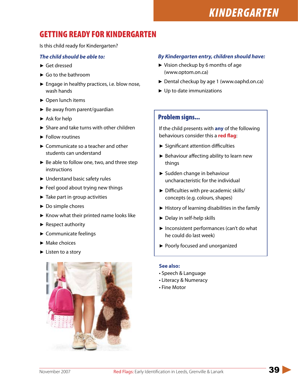# *KINDERGARTEN*

# GETTING READY FOR KINDERGARTEN

Is this child ready for Kindergarten?

### *The child should be able to:*

- ► Get dressed
- ► Go to the bathroom
- ► Engage in healthy practices, i.e. blow nose, wash hands
- ► Open lunch items
- ► Be away from parent/guardian
- ► Ask for help
- ► Share and take turns with other children
- ► Follow routines
- ► Communicate so a teacher and other students can understand
- ► Be able to follow one, two, and three step instructions
- ► Understand basic safety rules
- ► Feel good about trying new things
- ► Take part in group activities
- ► Do simple chores
- ► Know what their printed name looks like
- ► Respect authority
- ► Communicate feelings
- ► Make choices
- ► Listen to a story



#### *By Kindergarten entry, children should have:*

- ► Vision checkup by 6 months of age (www.optom.on.ca)
- ► Dental checkup by age 1 (www.oaphd.on.ca)
- ▶ Up to date immunizations

### Problem signs...

If the child presents with **any** of the following behaviours consider this a **red flag**:

- ► Significant attention difficulties
- ▶ Behaviour affecting ability to learn new things
- ► Sudden change in behaviour uncharacteristic for the individual
- ► Difficulties with pre-academic skills/ concepts (e.g. colours, shapes)
- ► History of learning disabilities in the family
- ► Delay in self-help skills
- ► Inconsistent performances (can't do what he could do last week)
- ► Poorly focused and unorganized

#### **See also:**

- Speech & Language
- Literacy & Numeracy
- Fine Motor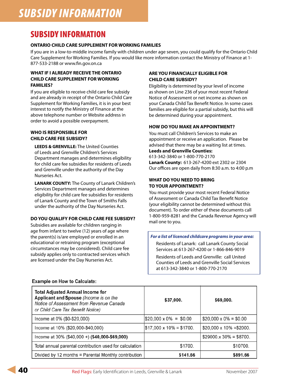# SUBSIDY INFORMATION

#### **ONTARIO CHILD CARE SUPPLEMENT FOR WORKING FAMILIES**

If you are in a low-to-middle income family with children under age seven, you could qualify for the Ontario Child Care Supplement for Working Families. If you would like more information contact the Ministry of Finance at 1- 877-533-2188 or www.fin.gov.on.ca

#### **WHAT IF I ALREADY RECEIVE THE ONTARIO CHILD CARE SUPPLEMENT FOR WORKING FAMILIES?**

If you are eligible to receive child care fee subsidy and are already in receipt of the Ontario Child Care Supplement for Working Families, it is in your best interest to notify the Ministry of Finance at the above telephone number or Website address in order to avoid a possible overpayment.

#### **WHO IS RESPONSIBLE FOR CHILD CARE FEE SUBSIDY?**

**LEEDS & GRENVILLE:** The United Counties of Leeds and Grenville Children's Services Department manages and determines eligibility for child care fee subsidies for residents of Leeds and Grenville under the authority of the Day Nurseries Act.

**LANARK COUNTY:** The County of Lanark Children's Services Department manages and determines eligibility for child care fee subsidies for residents of Lanark County and the Town of Smiths Falls under the authority of the Day Nurseries Act.

#### **DO YOU QUALIFY FOR CHILD CARE FEE SUBSIDY?**

Subsidies are available for children ranging in age from infant to twelve (12) years of age where the parent(s) is/are employed or enrolled in an educational or retraining program (exceptional circumstances may be considered). Child care fee subsidy applies only to contracted services which are licensed under the Day Nurseries Act.

#### **ARE YOU FINANCIALLY ELIGIBLE FOR CHILD CARE SUBSIDY?**

Eligibility is determined by your level of income as shown on Line 236 of your most recent Federal Notice of Assessment or net income as shown on your Canada Child Tax Benefit Notice. In some cases families are eligible for a partial subsidy, but this will be determined during your appointment.

#### **HOW DO YOU MAKE AN APPOINTMENT?**

You must call Children's Services to make an appointment or receive an application. Please be advised that there may be a waiting list at times. **Leeds and Grenville Counties:** 

### 613-342-3840 or 1-800-770-2170

**Lanark County:** 613-267-4200 ext 2302 or 2304 Our offices are open daily from 8:30 a.m. to 4:00 p.m

#### **WHAT DO YOU NEED TO BRING TO YOUR APPOINTMENT?**

You must provide your most recent Federal Notice of Assessment or Canada Child Tax Benefit Notice (your eligibility cannot be determined without this document). To order either of these documents call 1-800-959-8281 and the Canada Revenue Agency will mail one to you.

#### *For a list of licenced childcare programs in your area:*

Residents of Lanark: call Lanark County Social Services at 613-267-4200 or 1-866-846-9019

Residents of Leeds and Grenville: call United Counties of Leeds and Grenville Social Services at 613-342-3840 or 1-800-770-2170

| <b>Total Adjusted Annual Income for</b><br>Applicant and Spouse (Income is on the<br>Notice of Assessment from Revenue Canada<br>or Child Care Tax Benefit Notice) | \$37,000.                        | \$69,000.                       |
|--------------------------------------------------------------------------------------------------------------------------------------------------------------------|----------------------------------|---------------------------------|
| Income at 0% (\$0-\$20,000)                                                                                                                                        | $\$20.000 \times 0\% = \$0.00$   | $$20,000 \times 0\% = $0.00$    |
| Income at 10% (\$20,000-\$40,000)                                                                                                                                  | $\$17,000 \times 10\% = \$1700.$ | $$20,000 \times 10\% = $2000$ . |
| Income at 30% (\$40,000 +) (\$40,000-\$69,000)                                                                                                                     |                                  | $$29000.x 30\% = $8700.$        |
| Total annual parental contribution used for calculation                                                                                                            | \$1700.                          | \$10700.                        |
| Divided by 12 months = Parental Monthly contribution                                                                                                               | \$141.66                         | \$891.66                        |

#### **Example on How to Calculate:**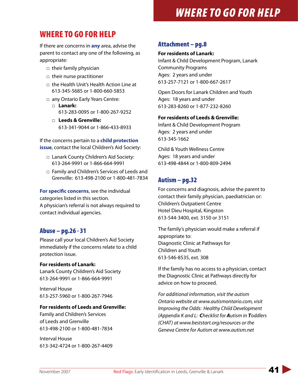# WHERE TO GO FOR HELP

If there are concerns in **any** area, advise the parent to contact any one of the following, as appropriate:

- □ their family physician
- □ their nurse practitioner
- □ the Health Unit's Health Action Line at 613-345-5685 or 1-800-660-5853
- □ any Ontario Early Years Centre: □ **Lanark:** 613-283-0095 or 1-800-267-9252
	- □ Leeds & Grenville: 613-341-9044 or 1-866-433-8933

If the concerns pertain to a **child protection issue**, contact the local Children's Aid Society:

- □ Lanark County Children's Aid Society: 613-264-9991 or 1-866-664-9991
- □ Family and Children's Services of Leeds and Grenville: 613-498-2100 or 1-800-481-7834

**For specific concerns**, see the individual categories listed in this section.

A physician's referral is not always required to contact individual agencies.

## Abuse – pg.26 - 31

Please call your local Children's Aid Society immediately if the concerns relate to a child protection issue.

### **For residents of Lanark:**

Lanark County Children's Aid Society 613-264-9991 or 1-866-664-9991

Interval House 613-257-5960 or 1-800-267-7946

#### **For residents of Leeds and Grenville:**

Family and Children's Services of Leeds and Grenville 613-498-2100 or 1-800-481-7834

Interval House 613-342-4724 or 1-800-267-4409

## Attachment – pg.8

#### **For residents of Lanark:**

Infant & Child Development Program, Lanark Community Programs Ages: 2 years and under 613-257-7121 or 1-800-667-2617

Open Doors for Lanark Children and Youth Ages: 18 years and under 613-283-8260 or 1-877-232-8260

### **For residents of Leeds & Grenville:**

Infant & Child Development Program Ages: 2 years and under 613-345-1662

Child & Youth Wellness Centre Ages: 18 years and under 613-498-4844 or 1-800-809-2494

## Autism – pg.32

For concerns and diagnosis, advise the parent to contact their family physician, paediatrician or: Children's Outpatient Centre Hotel Dieu Hospital, Kingston 613-544-3400, ext. 3150 or 3151

The family's physician would make a referral if appropriate to: Diagnostic Clinic at Pathways for Children and Youth 613-546-8535, ext. 308

If the family has no access to a physician, contact the Diagnostic Clinic at Pathways directly for advice on how to proceed.

*For additional information, visit the autism Ontario website at www.autismontario.com, visit Improving the Odds: Healthy Child Development (Appendix K and L: Checklist for Autism in Toddlers (CHAT) at www.beststart.org/resources or the Geneva Centre for Autism at www.autism.net*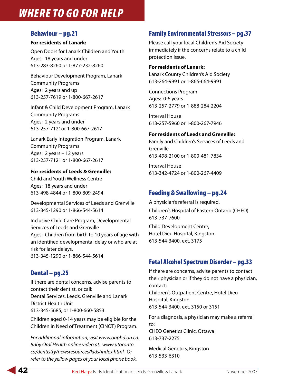## Behaviour – pg.21

### **For residents of Lanark:**

Open Doors for Lanark Children and Youth Ages: 18 years and under 613-283-8260 or 1-877-232-8260

Behaviour Development Program, Lanark Community Programs Ages: 2 years and up 613-257-7619 or 1-800-667-2617

Infant & Child Development Program, Lanark Community Programs Ages: 2 years and under 613-257-7121or 1-800-667-2617

Lanark Early Integration Program, Lanark Community Programs Ages: 2 years – 12 years 613-257-7121 or 1-800-667-2617

### **For residents of Leeds & Grenville:**

Child and Youth Wellness Centre Ages: 18 years and under 613-498-4844 or 1-800-809-2494

Developmental Services of Leeds and Grenville 613-345-1290 or 1-866-544-5614

Inclusive Child Care Program, Developmental Services of Leeds and Grenville Ages: Children from birth to 10 years of age with an identified developmental delay or who are at risk for later delays. 613-345-1290 or 1-866-544-5614

## Dental – pg.25

If there are dental concerns, advise parents to contact their dentist, or call: Dental Services, Leeds, Grenville and Lanark District Health Unit 613-345-5685, or 1-800-660-5853.

Children aged 0-14 years may be eligible for the Children in Need of Treatment (CINOT) Program.

*For additional information, visit www.oaphd.on.ca. Baby Oral Health online video at: www.utoronto. ca/dentistry/newsresources/kids/index.html. Or refer to the yellow pages of your local phone book.*

## Family Environmental Stressors – pg.37

Please call your local Children's Aid Society immediately if the concerns relate to a child protection issue.

### **For residents of Lanark:**

Lanark County Children's Aid Society 613-264-9991 or 1-866-664-9991

Connections Program Ages: 0-6 years 613-257-2779 or 1-888-284-2204

Interval House 613-257-5960 or 1-800-267-7946

### **For residents of Leeds and Grenville:**

Family and Children's Services of Leeds and Grenville 613-498-2100 or 1-800-481-7834

Interval House 613-342-4724 or 1-800-267-4409

## Feeding & Swallowing – pg.24

A physician's referral is required. Children's Hospital of Eastern Ontario (CHEO) 613-737-7600 Child Development Centre, Hotel Dieu Hospital, Kingston 613-544-3400, ext. 3175

## Fetal Alcohol Spectrum Disorder – pg.33

If there are concerns, advise parents to contact their physician or if they do not have a physician, contact: Children's Outpatient Centre, Hotel Dieu Hospital, Kingston 613-544-3400, ext. 3150 or 3151

For a diagnosis, a physician may make a referral to: CHEO Genetics Clinic, Ottawa 613-737-2275

Medical Genetics, Kingston 613-533-6310

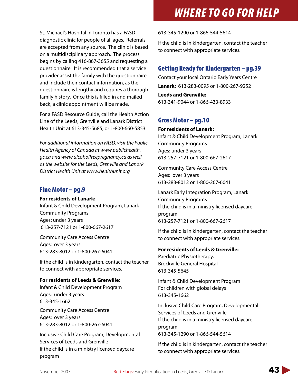St. Michael's Hospital in Toronto has a FASD diagnostic clinic for people of all ages. Referrals are accepted from any source. The clinic is based on a multidisciplinary approach. The process begins by calling 416-867-3655 and requesting a questionnaire. It is recommended that a service provider assist the family with the questionnaire and include their contact information, as the questionnaire is lengthy and requires a thorough family history. Once this is filled in and mailed back, a clinic appointment will be made.

For a FASD Resource Guide, call the Health Action Line of the Leeds, Grenville and Lanark District Health Unit at 613-345-5685, or 1-800-660-5853

*For additional information on FASD, visit the Public Health Agency of Canada at www.publichealth. gc.ca and www.alcoholfreepregnancy.ca as well as the website for the Leeds, Grenville and Lanark District Health Unit at www.healthunit.org*

### Fine Motor – pg.9

**For residents of Lanark:**

Infant & Child Development Program, Lanark Community Programs Ages: under 3 years 613-257-7121 or 1-800-667-2617

Community Care Access Centre Ages: over 3 years 613-283-8012 or 1-800-267-6041

If the child is in kindergarten, contact the teacher to connect with appropriate services.

#### **For residents of Leeds & Grenville:**

Infant & Child Development Program Ages: under 3 years 613-345-1662

Community Care Access Centre Ages: over 3 years 613-283-8012 or 1-800-267-6041

Inclusive Child Care Program, Developmental Services of Leeds and Grenville If the child is in a ministry licensed daycare program

613-345-1290 or 1-866-544-5614

If the child is in kindergarten, contact the teacher to connect with appropriate services.

## Getting Ready for Kindergarten – pg.39

Contact your local Ontario Early Years Centre **Lanark:** 613-283-0095 or 1-800-267-9252

**Leeds and Grenville:**  613-341-9044 or 1-866-433-8933

### Gross Motor – pg.10

#### **For residents of Lanark:**

Infant & Child Development Program, Lanark Community Programs Ages: under 3 years 613-257-7121 or 1-800-667-2617

Community Care Access Centre Ages: over 3 years 613-283-8012 or 1-800-267-6041

Lanark Early Integration Program, Lanark Community Programs If the child is in a ministry licensed daycare program 613-257-7121 or 1-800-667-2617

If the child is in kindergarten, contact the teacher to connect with appropriate services.

#### **For residents of Leeds & Grenville:**

Paediatric Physiotherapy, Brockville General Hospital 613-345-5645

Infant & Child Development Program For children with global delays 613-345-1662

Inclusive Child Care Program, Developmental Services of Leeds and Grenville If the child is in a ministry licensed daycare program 613-345-1290 or 1-866-544-5614

If the child is in kindergarten, contact the teacher to connect with appropriate services.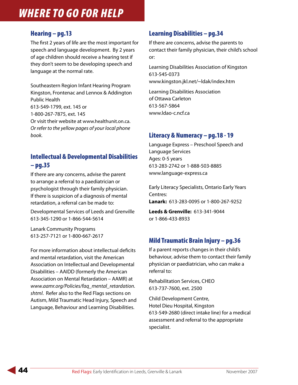## Hearing – pg.13

The first 2 years of life are the most important for speech and language development. By 2 years of age children should receive a hearing test if they don't seem to be developing speech and language at the normal rate.

Southeastern Region Infant Hearing Program Kingston, Frontenac and Lennox & Addington Public Health 613-549-1799, ext. 145 or 1-800-267-7875, ext. 145 Or visit their website at www.healthunit.on.ca. *Or refer to the yellow pages of your local phone book.*

# Intellectual & Developmental Disabilities – pg.35

If there are any concerns, advise the parent to arrange a referral to a paediatrician or psychologist through their family physician. If there is suspicion of a diagnosis of mental retardation, a referral can be made to:

Developmental Services of Leeds and Grenville 613-345-1290 or 1-866-544-5614

Lanark Community Programs 613-257-7121 or 1-800-667-2617

For more information about intellectual deficits and mental retardation, visit the American Association on Intellectual and Developmental Disabilities – AAIDD (formerly the American Association on Mental Retardation – AAMR) at *www.aamr.org/Policies/faq\_mental\_retardation. shtml*. Refer also to the Red Flags sections on Autism, Mild Traumatic Head Injury, Speech and Language, Behaviour and Learning Disabilities.

# Learning Disabilities – pg.34

If there are concerns, advise the parents to contact their family physician, their child's school or:

Learning Disabilities Association of Kingston 613-545-0373 www.kingston.jkl.net/~ldak/index.htm

Learning Disabilities Association of Ottawa Carleton 613-567-5864 www.ldao-c.ncf.ca

## Literacy & Numeracy – pg.18 - 19

Language Express – Preschool Speech and Language Services Ages: 0-5 years 613-283-2742 or 1-888-503-8885 www.language-express.ca

Early Literacy Specialists, Ontario Early Years Centres: **Lanark:** 613-283-0095 or 1-800-267-9252

**Leeds & Grenville:** 613-341-9044 or 1-866-433-8933

## Mild Traumatic Brain Injury – pg.36

If a parent reports changes in their child's behaviour, advise them to contact their family physician or paediatrician, who can make a referral to:

Rehabilitation Services, CHEO 613-737-7600, ext. 2500

Child Development Centre, Hotel Dieu Hospital, Kingston 613-549-2680 (direct intake line) for a medical assessment and referral to the appropriate specialist.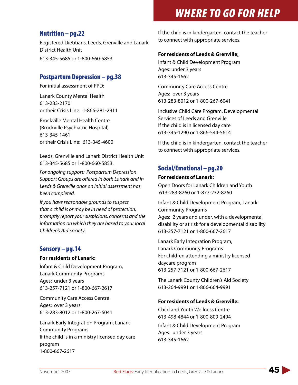## Nutrition – pg.22

Registered Dietitians, Leeds, Grenville and Lanark District Health Unit 613-345-5685 or 1-800-660-5853

## Postpartum Depression – pg.38

For initial assessment of PPD:

Lanark County Mental Health 613-283-2170 or their Crisis Line: 1-866-281-2911

Brockville Mental Health Centre (Brockville Psychiatric Hospital) 613-345-1461 or their Crisis Line: 613-345-4600

Leeds, Grenville and Lanark District Health Unit 613-345-5685 or 1-800-660-5853.

*For ongoing support: Postpartum Depression Support Groups are offered in both Lanark and in Leeds & Grenville once an initial assessment has been completed.*

*If you have reasonable grounds to suspect that a child is or may be in need of protection, promptly report your suspicions, concerns and the information on which they are based to your local Children's Aid Society*.

## Sensory – pg.14

#### **For residents of Lanark:**

Infant & Child Development Program, Lanark Community Programs Ages: under 3 years 613-257-7121 or 1-800-667-2617

Community Care Access Centre Ages: over 3 years 613-283-8012 or 1-800-267-6041

Lanark Early Integration Program, Lanark Community Programs If the child is in a ministry licensed day care program 1-800-667-2617

If the child is in kindergarten, contact the teacher to connect with appropriate services.

### **For residents of Leeds & Grenville**:

Infant & Child Development Program Ages: under 3 years 613-345-1662

Community Care Access Centre Ages: over 3 years 613-283-8012 or 1-800-267-6041

Inclusive Child Care Program, Developmental Services of Leeds and Grenville If the child is in licensed day care 613-345-1290 or 1-866-544-5614

If the child is in kindergarten, contact the teacher to connect with appropriate services.

# Social/Emotional – pg.20

### **For residents of Lanark:**

Open Doors for Lanark Children and Youth 613-283-8260 or 1-877-232-8260

Infant & Child Development Program, Lanark Community Programs Ages: 2 years and under, with a developmental disability or at risk for a developmental disability 613-257-7121 or 1-800-667-2617

Lanark Early Integration Program, Lanark Community Programs For children attending a ministry licensed daycare program 613-257-7121 or 1-800-667-2617

The Lanark County Children's Aid Society 613-264-9991 or 1-866-664-9991

### **For residents of Leeds & Grenville:**

Child and Youth Wellness Centre 613-498-4844 or 1-800-809-2494

Infant & Child Development Program Ages: under 3 years 613-345-1662